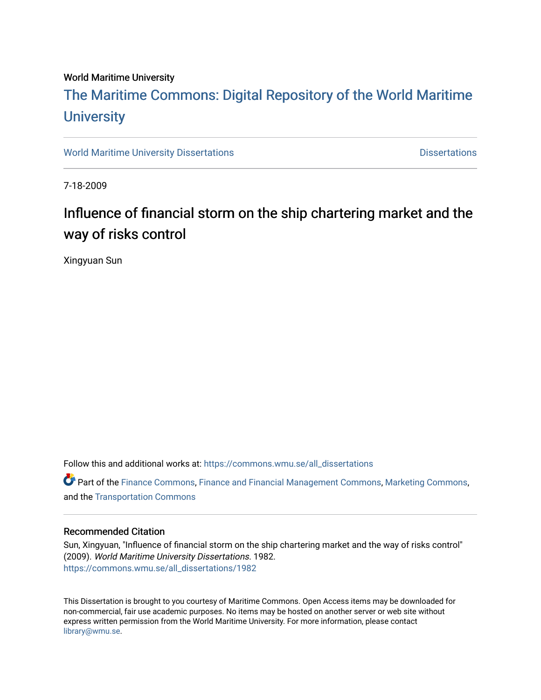#### World Maritime University

# [The Maritime Commons: Digital Repository of the World Maritime](https://commons.wmu.se/)  **University**

[World Maritime University Dissertations](https://commons.wmu.se/all_dissertations) **Distributions** [Dissertations](https://commons.wmu.se/dissertations) Dissertations

7-18-2009

## Influence of financial storm on the ship chartering market and the way of risks control

Xingyuan Sun

Follow this and additional works at: [https://commons.wmu.se/all\\_dissertations](https://commons.wmu.se/all_dissertations?utm_source=commons.wmu.se%2Fall_dissertations%2F1982&utm_medium=PDF&utm_campaign=PDFCoverPages) 

Part of the [Finance Commons,](http://network.bepress.com/hgg/discipline/345?utm_source=commons.wmu.se%2Fall_dissertations%2F1982&utm_medium=PDF&utm_campaign=PDFCoverPages) [Finance and Financial Management Commons,](http://network.bepress.com/hgg/discipline/631?utm_source=commons.wmu.se%2Fall_dissertations%2F1982&utm_medium=PDF&utm_campaign=PDFCoverPages) [Marketing Commons](http://network.bepress.com/hgg/discipline/638?utm_source=commons.wmu.se%2Fall_dissertations%2F1982&utm_medium=PDF&utm_campaign=PDFCoverPages), and the [Transportation Commons](http://network.bepress.com/hgg/discipline/1068?utm_source=commons.wmu.se%2Fall_dissertations%2F1982&utm_medium=PDF&utm_campaign=PDFCoverPages) 

#### Recommended Citation

Sun, Xingyuan, "Influence of financial storm on the ship chartering market and the way of risks control" (2009). World Maritime University Dissertations. 1982. [https://commons.wmu.se/all\\_dissertations/1982](https://commons.wmu.se/all_dissertations/1982?utm_source=commons.wmu.se%2Fall_dissertations%2F1982&utm_medium=PDF&utm_campaign=PDFCoverPages)

This Dissertation is brought to you courtesy of Maritime Commons. Open Access items may be downloaded for non-commercial, fair use academic purposes. No items may be hosted on another server or web site without express written permission from the World Maritime University. For more information, please contact [library@wmu.se](mailto:library@wmu.edu).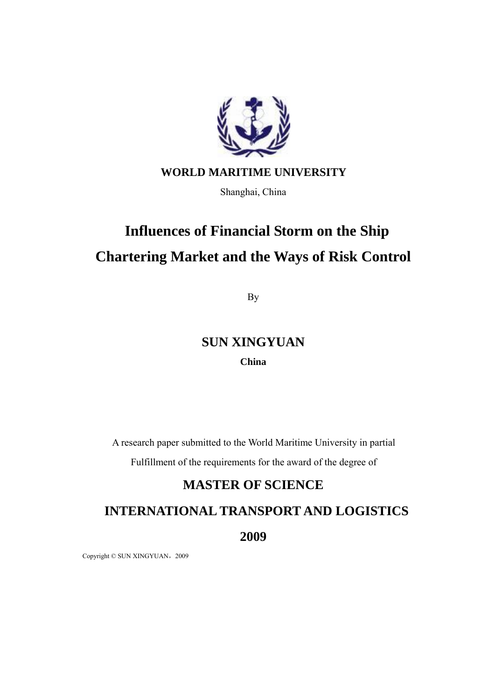

### **WORLD MARITIME UNIVERSITY**

Shanghai, China

# **Influences of Financial Storm on the Ship Chartering Market and the Ways of Risk Control**

By

## **SUN XINGYUAN**

#### **China**

A research paper submitted to the World Maritime University in partial

Fulfillment of the requirements for the award of the degree of

## **MASTER OF SCIENCE**

## **INTERNATIONAL TRANSPORT AND LOGISTICS**

**2009** 

Copyright © SUN XINGYUAN, 2009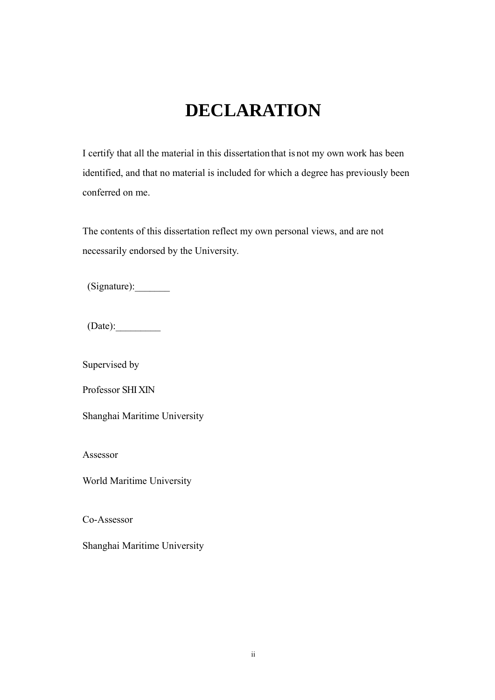# **DECLARATION**

<span id="page-2-0"></span>I certify that all the material in this dissertation that is not my own work has been identified, and that no material is included for which a degree has previously been conferred on me.

The contents of this dissertation reflect my own personal views, and are not necessarily endorsed by the University.

(Signature):\_\_\_\_\_\_\_

 $(Date):$ 

Supervised by

Professor SHI XIN

Shanghai Maritime University

Assessor

World Maritime University

Co-Assessor

Shanghai Maritime University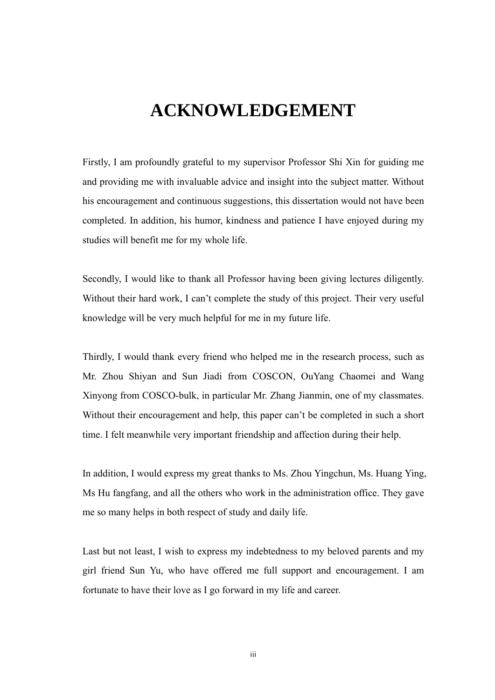# **ACKNOWLEDGEMENT**

<span id="page-3-0"></span>Firstly, I am profoundly grateful to my supervisor Professor Shi Xin for guiding me and providing me with invaluable advice and insight into the subject matter. Without his encouragement and continuous suggestions, this dissertation would not have been completed. In addition, his humor, kindness and patience I have enjoyed during my studies will benefit me for my whole life.

Secondly, I would like to thank all Professor having been giving lectures diligently. Without their hard work, I can't complete the study of this project. Their very useful knowledge will be very much helpful for me in my future life.

Thirdly, I would thank every friend who helped me in the research process, such as Mr. Zhou Shiyan and Sun Jiadi from COSCON, OuYang Chaomei and Wang Xinyong from COSCO-bulk, in particular Mr. Zhang Jianmin, one of my classmates. Without their encouragement and help, this paper can't be completed in such a short time. I felt meanwhile very important friendship and affection during their help.

In addition, I would express my great thanks to Ms. Zhou Yingchun, Ms. Huang Ying, Ms Hu fangfang, and all the others who work in the administration office. They gave me so many helps in both respect of study and daily life.

Last but not least, I wish to express my indebtedness to my beloved parents and my girl friend Sun Yu, who have offered me full support and encouragement. I am fortunate to have their love as I go forward in my life and career.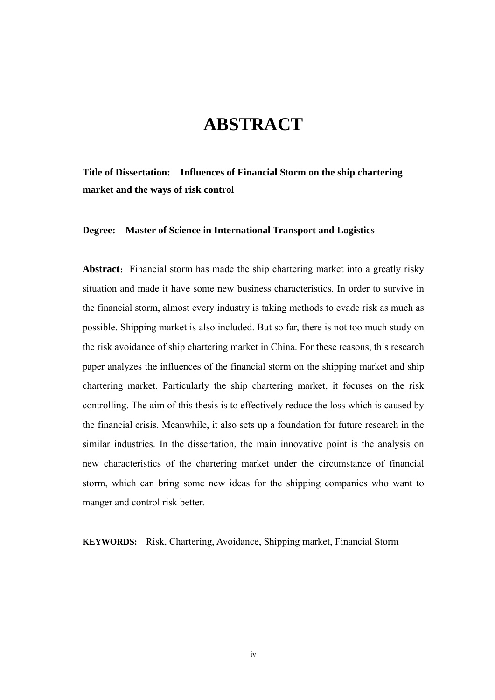# **ABSTRACT**

<span id="page-4-0"></span>**Title of Dissertation: Influences of Financial Storm on the ship chartering market and the ways of risk control** 

**Degree: Master of Science in International Transport and Logistics** 

**Abstract:** Financial storm has made the ship chartering market into a greatly risky situation and made it have some new business characteristics. In order to survive in the financial storm, almost every industry is taking methods to evade risk as much as possible. Shipping market is also included. But so far, there is not too much study on the risk avoidance of ship chartering market in China. For these reasons, this research paper analyzes the influences of the financial storm on the shipping market and ship chartering market. Particularly the ship chartering market, it focuses on the risk controlling. The aim of this thesis is to effectively reduce the loss which is caused by the financial crisis. Meanwhile, it also sets up a foundation for future research in the similar industries. In the dissertation, the main innovative point is the analysis on new characteristics of the chartering market under the circumstance of financial storm, which can bring some new ideas for the shipping companies who want to manger and control risk better.

**KEYWORDS:** Risk, Chartering, Avoidance, Shipping market, Financial Storm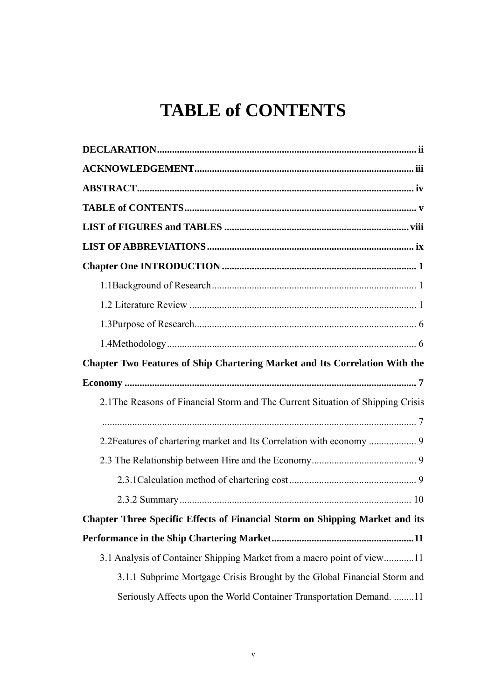# **TABLE of CONTENTS**

<span id="page-5-0"></span>

| Chapter Two Features of Ship Chartering Market and Its Correlation With the     |
|---------------------------------------------------------------------------------|
|                                                                                 |
| 2.1 The Reasons of Financial Storm and The Current Situation of Shipping Crisis |
|                                                                                 |
|                                                                                 |
|                                                                                 |
|                                                                                 |
| Chapter Three Specific Effects of Financial Storm on Shipping Market and its    |
|                                                                                 |
| 3.1 Analysis of Container Shipping Market from a macro point of view11          |
|                                                                                 |
| 3.1.1 Subprime Mortgage Crisis Brought by the Global Financial Storm and        |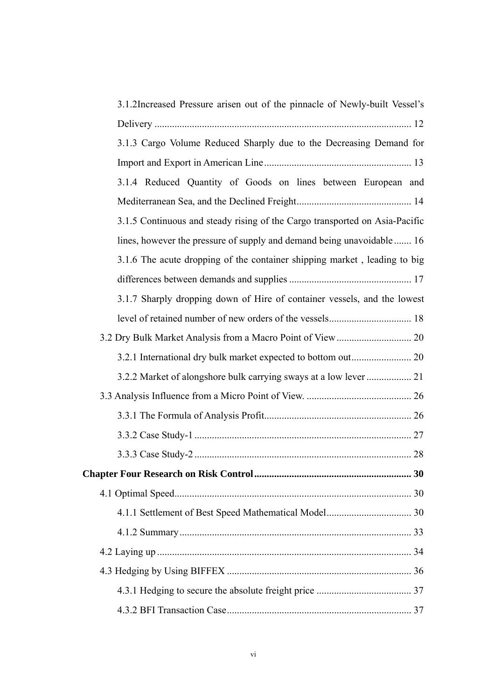| 3.1.2Increased Pressure arisen out of the pinnacle of Newly-built Vessel's  |
|-----------------------------------------------------------------------------|
|                                                                             |
| 3.1.3 Cargo Volume Reduced Sharply due to the Decreasing Demand for         |
|                                                                             |
| 3.1.4 Reduced Quantity of Goods on lines between European and               |
|                                                                             |
| 3.1.5 Continuous and steady rising of the Cargo transported on Asia-Pacific |
| lines, however the pressure of supply and demand being unavoidable 16       |
| 3.1.6 The acute dropping of the container shipping market, leading to big   |
|                                                                             |
| 3.1.7 Sharply dropping down of Hire of container vessels, and the lowest    |
|                                                                             |
|                                                                             |
|                                                                             |
| 3.2.2 Market of alongshore bulk carrying sways at a low lever  21           |
|                                                                             |
|                                                                             |
|                                                                             |
|                                                                             |
|                                                                             |
|                                                                             |
|                                                                             |
|                                                                             |
|                                                                             |
|                                                                             |
|                                                                             |
|                                                                             |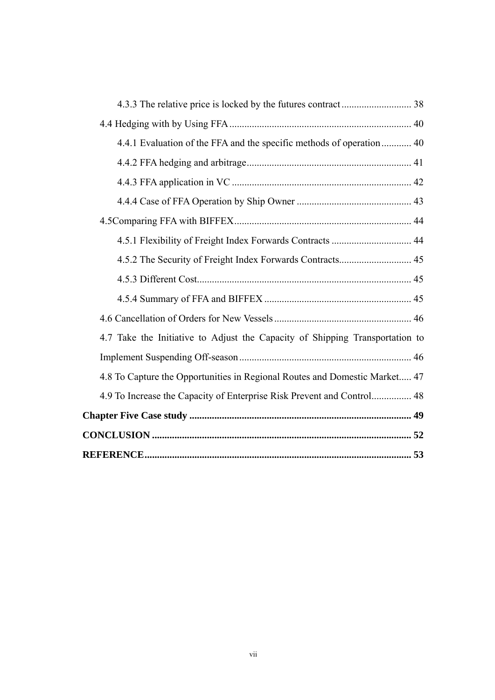| 4.4.1 Evaluation of the FFA and the specific methods of operation 40         |  |
|------------------------------------------------------------------------------|--|
|                                                                              |  |
|                                                                              |  |
|                                                                              |  |
|                                                                              |  |
| 4.5.1 Flexibility of Freight Index Forwards Contracts  44                    |  |
| 4.5.2 The Security of Freight Index Forwards Contracts 45                    |  |
|                                                                              |  |
|                                                                              |  |
|                                                                              |  |
| 4.7 Take the Initiative to Adjust the Capacity of Shipping Transportation to |  |
|                                                                              |  |
| 4.8 To Capture the Opportunities in Regional Routes and Domestic Market 47   |  |
| 4.9 To Increase the Capacity of Enterprise Risk Prevent and Control 48       |  |
|                                                                              |  |
|                                                                              |  |
|                                                                              |  |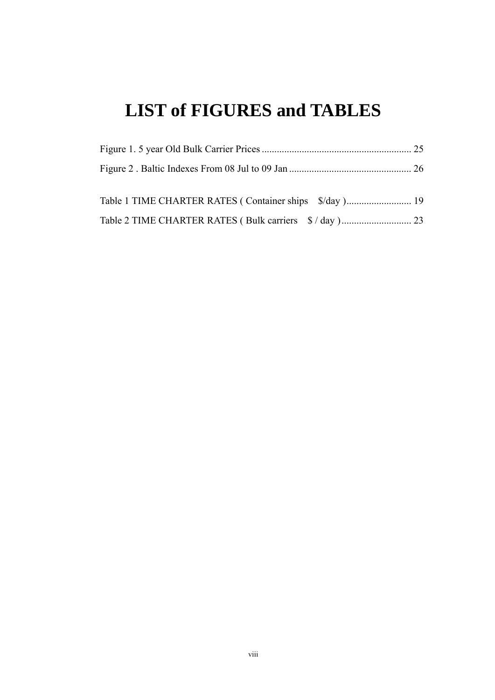# <span id="page-8-0"></span>**LIST of FIGURES and TABLES**

| Table 1 TIME CHARTER RATES (Container ships \$/day) 19 |  |
|--------------------------------------------------------|--|
|                                                        |  |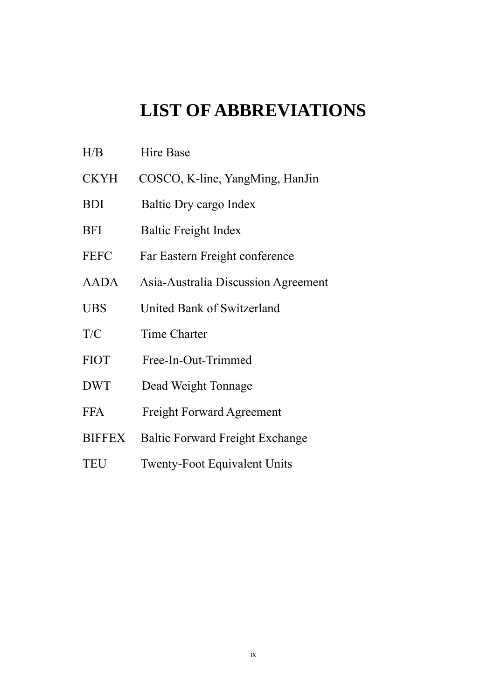# **LIST OF ABBREVIATIONS**

- <span id="page-9-0"></span>H/B Hire Base
- CKYH COSCO, K-line, YangMing, HanJin
- BDI Baltic Dry cargo Index
- BFI Baltic Freight Index
- FEFC Far Eastern Freight conference
- AADA Asia-Australia Discussion Agreement
- UBS United Bank of Switzerland
- T/C Time Charter
- FIOT Free-In-Out-Trimmed
- DWT Dead Weight Tonnage
- FFA Freight Forward Agreement
- BIFFEX Baltic Forward Freight Exchange
- TEU Twenty-Foot Equivalent Units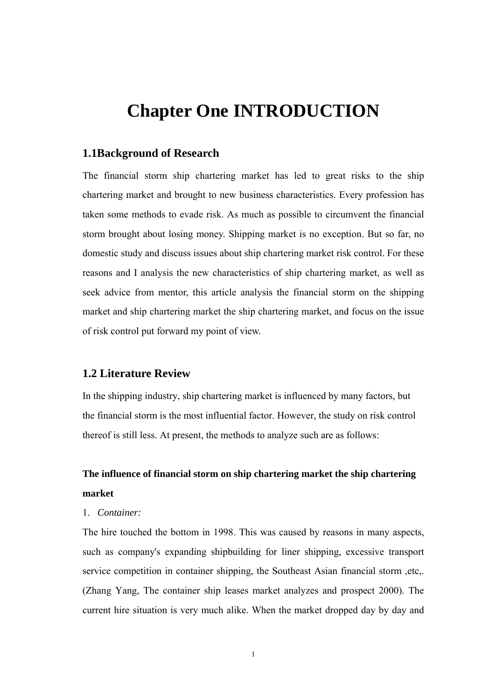# <span id="page-10-0"></span>**Chapter One INTRODUCTION**

#### **1.1Background of Research**

The financial storm ship chartering market has led to great risks to the ship chartering market and brought to new business characteristics. Every profession has taken some methods to evade risk. As much as possible to circumvent the financial storm brought about losing money. Shipping market is no exception. But so far, no domestic study and discuss issues about ship chartering market risk control. For these reasons and I analysis the new characteristics of ship chartering market, as well as seek advice from mentor, this article analysis the financial storm on the shipping market and ship chartering market the ship chartering market, and focus on the issue of risk control put forward my point of view.

#### **1.2 Literature Review**

In the shipping industry, ship chartering market is influenced by many factors, but the financial storm is the most influential factor. However, the study on risk control thereof is still less. At present, the methods to analyze such are as follows:

## **The influence of financial storm on ship chartering market the ship chartering market**

#### 1. *Container:*

The hire touched the bottom in 1998. This was caused by reasons in many aspects, such as company's expanding shipbuilding for liner shipping, excessive transport service competition in container shipping, the Southeast Asian financial storm ,etc,. (Zhang Yang, The container ship leases market analyzes and prospect 2000). The current hire situation is very much alike. When the market dropped day by day and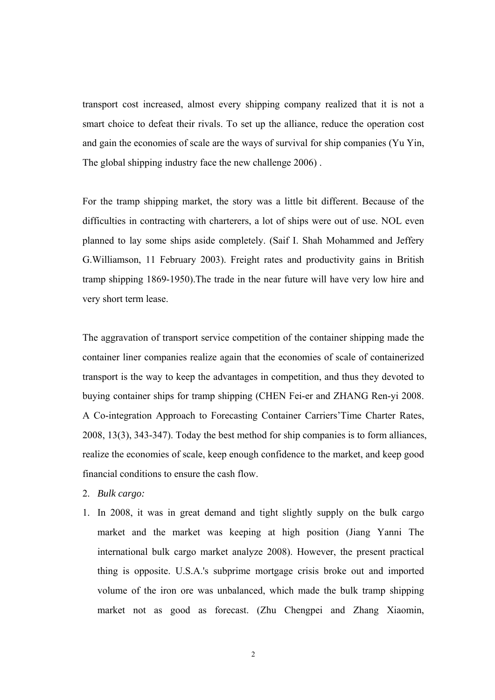transport cost increased, almost every shipping company realized that it is not a smart choice to defeat their rivals. To set up the alliance, reduce the operation cost and gain the economies of scale are the ways of survival for ship companies (Yu Yin, The global shipping industry face the new challenge 2006) .

For the tramp shipping market, the story was a little bit different. Because of the difficulties in contracting with charterers, a lot of ships were out of use. NOL even planned to lay some ships aside completely. (Saif I. Shah Mohammed and Jeffery G.Williamson, 11 February 2003). Freight rates and productivity gains in British tramp shipping 1869-1950).The trade in the near future will have very low hire and very short term lease.

The aggravation of transport service competition of the container shipping made the container liner companies realize again that the economies of scale of containerized transport is the way to keep the advantages in competition, and thus they devoted to buying container ships for tramp shipping (CHEN Fei-er and ZHANG Ren-yi 2008. A Co-integration Approach to Forecasting Container Carriers'Time Charter Rates, 2008, 13(3), 343-347). Today the best method for ship companies is to form alliances, realize the economies of scale, keep enough confidence to the market, and keep good financial conditions to ensure the cash flow.

- 2. *Bulk cargo:*
- 1. In 2008, it was in great demand and tight slightly supply on the bulk cargo market and the market was keeping at high position (Jiang Yanni The international bulk cargo market analyze 2008). However, the present practical thing is opposite. U.S.A.'s subprime mortgage crisis broke out and imported volume of the iron ore was unbalanced, which made the bulk tramp shipping market not as good as forecast. (Zhu Chengpei and Zhang Xiaomin,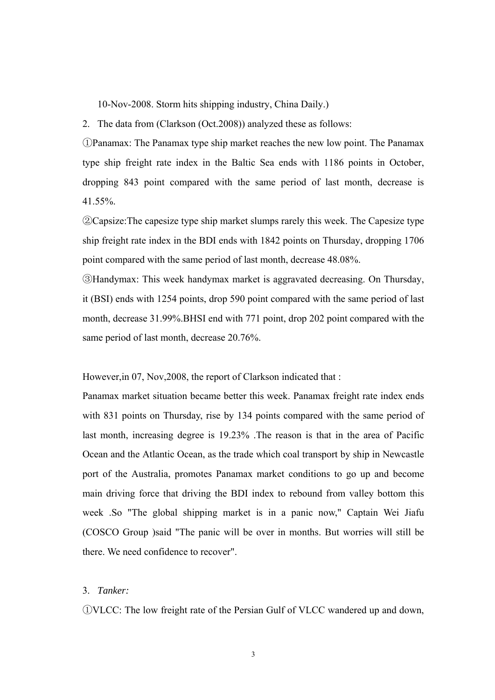10-Nov-2008. Storm hits shipping industry, China Daily.)

2. The data from (Clarkson (Oct.2008)) analyzed these as follows:

①Panamax: The Panamax type ship market reaches the new low point. The Panamax type ship freight rate index in the Baltic Sea ends with 1186 points in October, dropping 843 point compared with the same period of last month, decrease is 41.55%.

②Capsize:The capesize type ship market slumps rarely this week. The Capesize type ship freight rate index in the BDI ends with 1842 points on Thursday, dropping 1706 point compared with the same period of last month, decrease 48.08%.

③Handymax: This week handymax market is aggravated decreasing. On Thursday, it (BSI) ends with 1254 points, drop 590 point compared with the same period of last month, decrease 31.99%.BHSI end with 771 point, drop 202 point compared with the same period of last month, decrease 20.76%.

However,in 07, Nov,2008, the report of Clarkson indicated that :

Panamax market situation became better this week. Panamax freight rate index ends with 831 points on Thursday, rise by 134 points compared with the same period of last month, increasing degree is 19.23% .The reason is that in the area of Pacific Ocean and the Atlantic Ocean, as the trade which coal transport by ship in Newcastle port of the Australia, promotes Panamax market conditions to go up and become main driving force that driving the BDI index to rebound from valley bottom this week .So "The global shipping market is in a panic now," Captain Wei Jiafu (COSCO Group )said "The panic will be over in months. But worries will still be there. We need confidence to recover".

#### 3. *Tanker:*

①VLCC: The low freight rate of the Persian Gulf of VLCC wandered up and down,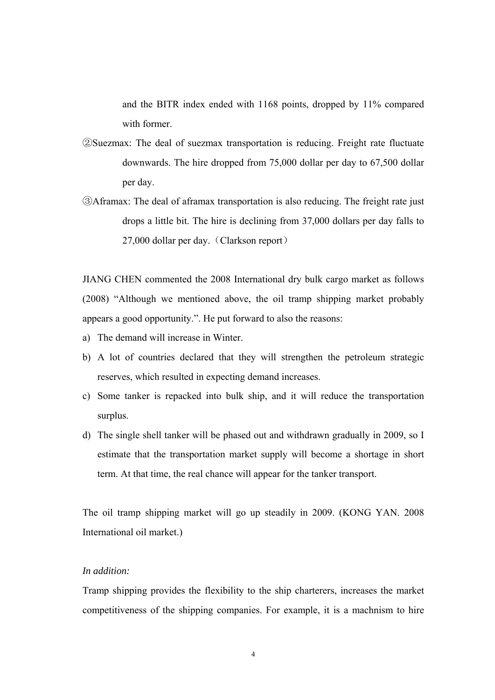and the BITR index ended with 1168 points, dropped by 11% compared with former.

- ②Suezmax: The deal of suezmax transportation is reducing. Freight rate fluctuate downwards. The hire dropped from 75,000 dollar per day to 67,500 dollar per day.
- ③Aframax: The deal of aframax transportation is also reducing. The freight rate just drops a little bit. The hire is declining from 37,000 dollars per day falls to 27,000 dollar per day. (Clarkson report)

JIANG CHEN commented the 2008 International dry bulk cargo market as follows (2008) "Although we mentioned above, the oil tramp shipping market probably appears a good opportunity.". He put forward to also the reasons:

- a) The demand will increase in Winter.
- b) A lot of countries declared that they will strengthen the petroleum strategic reserves, which resulted in expecting demand increases.
- c) Some tanker is repacked into bulk ship, and it will reduce the transportation surplus.
- d) The single shell tanker will be phased out and withdrawn gradually in 2009, so I estimate that the transportation market supply will become a shortage in short term. At that time, the real chance will appear for the tanker transport.

The oil tramp shipping market will go up steadily in 2009. (KONG YAN. 2008 International oil market.)

#### *In addition:*

Tramp shipping provides the flexibility to the ship charterers, increases the market competitiveness of the shipping companies. For example, it is a machnism to hire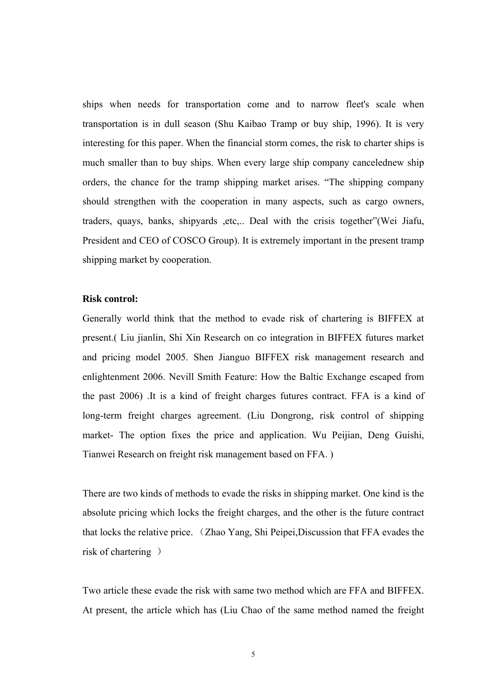ships when needs for transportation come and to narrow fleet's scale when transportation is in dull season (Shu Kaibao Tramp or buy ship, 1996). It is very interesting for this paper. When the financial storm comes, the risk to charter ships is much smaller than to buy ships. When every large ship company cancelednew ship orders, the chance for the tramp shipping market arises. "The shipping company should strengthen with the cooperation in many aspects, such as cargo owners, traders, quays, banks, shipyards ,etc,.. Deal with the crisis together"(Wei Jiafu, President and CEO of COSCO Group). It is extremely important in the present tramp shipping market by cooperation.

#### **Risk control:**

Generally world think that the method to evade risk of chartering is BIFFEX at present.( Liu jianlin, Shi Xin Research on co integration in BIFFEX futures market and pricing model 2005. Shen Jianguo BIFFEX risk management research and enlightenment 2006. Nevill Smith Feature: How the Baltic Exchange escaped from the past 2006) .It is a kind of freight charges futures contract. FFA is a kind of long-term freight charges agreement. (Liu Dongrong, risk control of shipping market- The option fixes the price and application. Wu Peijian, Deng Guishi, Tianwei Research on freight risk management based on FFA. )

There are two kinds of methods to evade the risks in shipping market. One kind is the absolute pricing which locks the freight charges, and the other is the future contract that locks the relative price. (Zhao Yang, Shi Peipei,Discussion that FFA evades the risk of chartering )

Two article these evade the risk with same two method which are FFA and BIFFEX. At present, the article which has (Liu Chao of the same method named the freight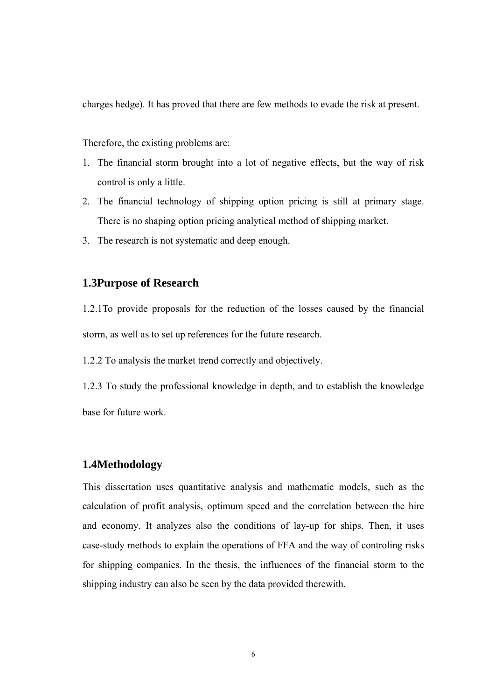<span id="page-15-0"></span>charges hedge). It has proved that there are few methods to evade the risk at present.

Therefore, the existing problems are:

- 1. The financial storm brought into a lot of negative effects, but the way of risk control is only a little.
- 2. The financial technology of shipping option pricing is still at primary stage. There is no shaping option pricing analytical method of shipping market.
- 3. The research is not systematic and deep enough.

#### **1.3Purpose of Research**

1.2.1To provide proposals for the reduction of the losses caused by the financial storm, as well as to set up references for the future research.

1.2.2 To analysis the market trend correctly and objectively.

1.2.3 To study the professional knowledge in depth, and to establish the knowledge base for future work.

#### **1.4Methodology**

This dissertation uses quantitative analysis and mathematic model[s](javascript:void(0)), such as the calculation of profit analysis, optimum speed and the correlation between the hire and economy. It analyzes also the conditions of lay-up for ships. Then, it uses case-study methods to explain the operations of FFA and the way of controling risks for shipping companies. In the thesis, the influences of the financial storm to the shipping industry can also be seen by the data provided therewith.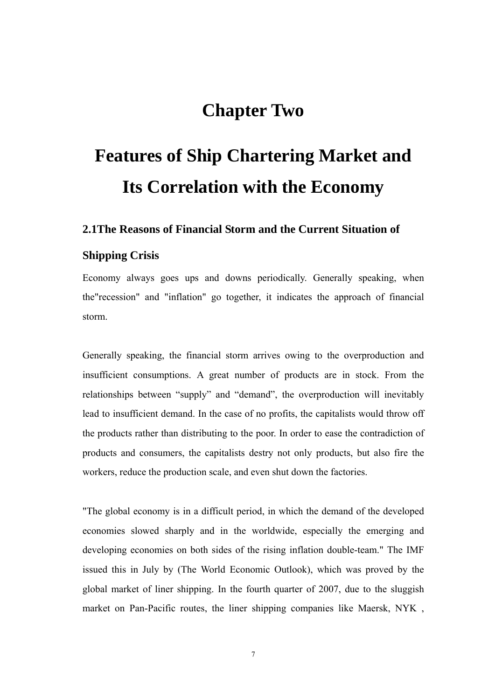# **Chapter Two**

# <span id="page-16-0"></span>**Features of Ship Chartering Market and Its Correlation with the Economy**

#### **2.1The Reasons of Financial Storm and the Current Situation of**

#### **Shipping Crisis**

Economy always goes ups and downs periodically. Generally speaking, when the"recession" and "inflation" go together, it indicates the approach of financial storm.

Generally speaking, the financial storm arrives owing to the overproduction and insufficient consumptions. A great number of products are in stock. From the relationships between "supply" and "demand", the overproduction will inevitably lead to insufficient demand. In the case of no profits, the capitalists would throw off the products rather than distributing to the poor. In order to ease the contradiction of products and consumers, the capitalists destry not only products, but also fire the workers, reduce the production scale, and even shut down the factories.

"The global economy is in a difficult period, in which the demand of the developed economies slowed sharply and in the worldwide, especially the emerging and developing economies on both sides of the rising inflation double-team." The IMF issued this in July by (The World Economic Outlook), which was proved by the global market of liner shipping. In the fourth quarter of 2007, due to the sluggish market on Pan-Pacific routes, the liner shipping companies like Maersk, NYK ,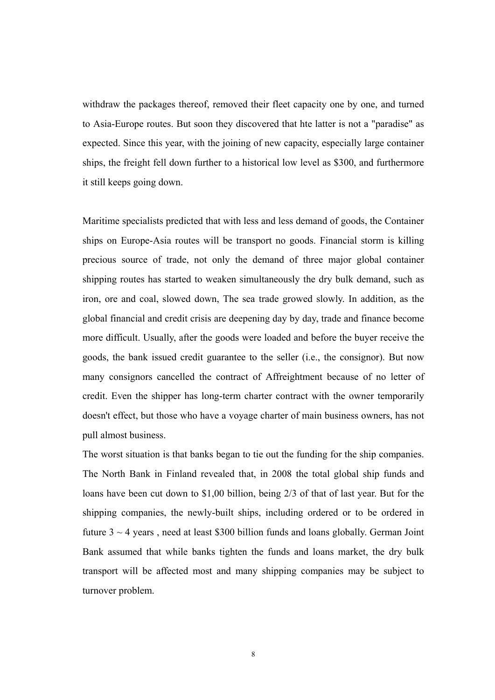withdraw the packages thereof, removed their fleet capacity one by one, and turned to Asia-Europe routes. But soon they discovered that hte latter is not a "paradise" as expected. Since this year, with the joining of new capacity, especially large container ships, the freight fell down further to a historical low level as \$300, and furthermore it still keeps going down.

Maritime specialists predicted that with less and less demand of goods, the Container ships on Europe-Asia routes will be transport no goods. Financial storm is killing precious source of trade, not only the demand of three major global container shipping routes has started to weaken simultaneously the dry bulk demand, such as iron, ore and coal, slowed down, The sea trade growed slowly. In addition, as the global financial and credit crisis are deepening day by day, trade and finance become more difficult. Usually, after the goods were loaded and before the buyer receive the goods, the bank issued credit guarantee to the seller (i.e., the consignor). But now many consignors cancelled the contract of Affreightment because of no letter of credit. Even the shipper has long-term charter contract with the owner temporarily doesn't effect, but those who have a voyage charter of main business owners, has not pull almost business.

The worst situation is that banks began to tie out the funding for the ship companies. The North Bank in Finland revealed that, in 2008 the total global ship funds and loans have been cut down to \$1,00 billion, being 2/3 of that of last year. But for the shipping companies, the newly-built ships, including ordered or to be ordered in future  $3 \sim 4$  years, need at least \$300 billion funds and loans globally. German Joint Bank assumed that while banks tighten the funds and loans market, the dry bulk transport will be affected most and many shipping companies may be subject to turnover problem.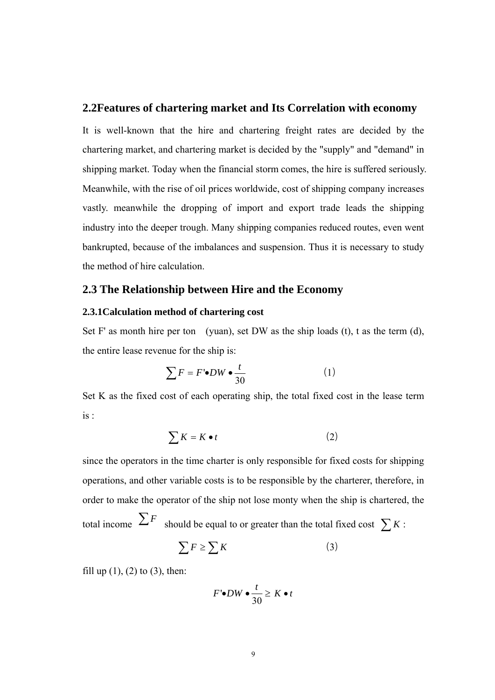#### <span id="page-18-0"></span>**2.2Features of chartering market and Its Correlation with economy**

It is well-known that the hire and chartering freight rates are decided by the chartering market, and chartering market is decided by the "supply" and "demand" in shipping market. Today when the financial storm comes, the hire is suffered seriously. Meanwhile, with the rise of oil prices worldwide, cost of shipping company increases vastly. meanwhile the dropping of import and export trade leads the shipping industry into the deeper trough. Many shipping companies reduced routes, even went bankrupted, because of the imbalances and suspension. Thus it is necessary to study the method of hire calculation.

#### **2.3 The Relationship between Hire and the Economy**

#### **2.3.1Calculation method of chartering cost**

Set F' as month hire per ton (yuan), set DW as the ship loads  $(t)$ , t as the term  $(d)$ , the entire lease revenue for the ship is:

$$
\sum F = F' \bullet DW \bullet \frac{t}{30} \tag{1}
$$

Set K as the fixed cost of each operating ship, the total fixed cost in the lease term is :

$$
\sum K = K \bullet t \tag{2}
$$

since the operators in the time charter is only responsible for fixed costs for shipping operations, and other variable costs is to be responsible by the charterer, therefore, in order to make the operator of the ship not lose monty when the ship is chartered, the total income  $\sum F$  should be equal to or greater than the total fixed cost  $\sum K$ :

$$
\sum F \ge \sum K \tag{3}
$$

fill up  $(1)$ ,  $(2)$  to  $(3)$ , then:

$$
F' \bullet DW \bullet \frac{t}{30} \geq K \bullet t
$$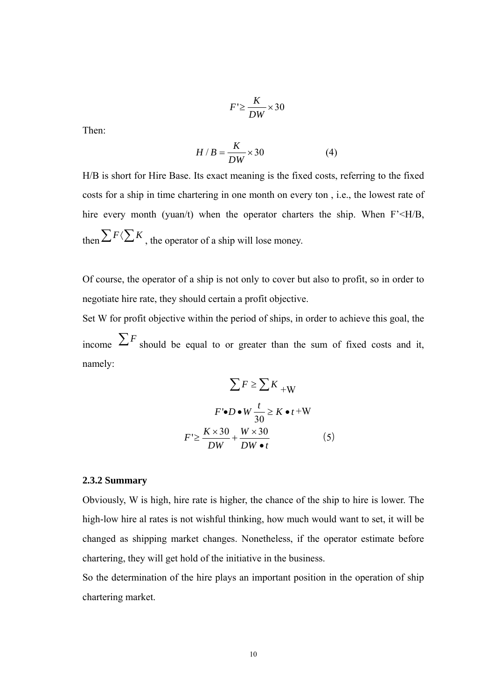$$
F' \ge \frac{K}{DW} \times 30
$$

<span id="page-19-0"></span>Then:

$$
H/B = \frac{K}{DW} \times 30\tag{4}
$$

H/B is short for Hire Base. Its exact meaning is the fixed costs, referring to the fixed costs for a ship in time chartering in one month on every ton , i.e., the lowest rate of hire every month (yuan/t) when the operator charters the ship. When F'<H/B, then  $\sum F \langle \sum K \rangle$ , the operator of a ship will lose money.

Of course, the operator of a ship is not only to cover but also to profit, so in order to negotiate hire rate, they should certain a profit objective.

Set W for profit objective within the period of ships, in order to achieve this goal, the income  $\sum F$  should be equal to or greater than the sum of fixed costs and it, namely:

$$
\sum F \ge \sum K_{+W}
$$
  

$$
F \cdot D \cdot W \frac{t}{30} \ge K \cdot t + W
$$
  

$$
F' \ge \frac{K \times 30}{DW} + \frac{W \times 30}{DW \cdot t}
$$
 (5)

#### **2.3.2 Summary**

Obviously, W is high, hire rate is higher, the chance of the ship to hire is lower. The high-low hire al rates is not wishful thinking, how much would want to set, it will be changed as shipping market changes. Nonetheless, if the operator estimate before chartering, they will get hold of the initiative in the business.

So the determination of the hire plays an important position in the operation of ship chartering market.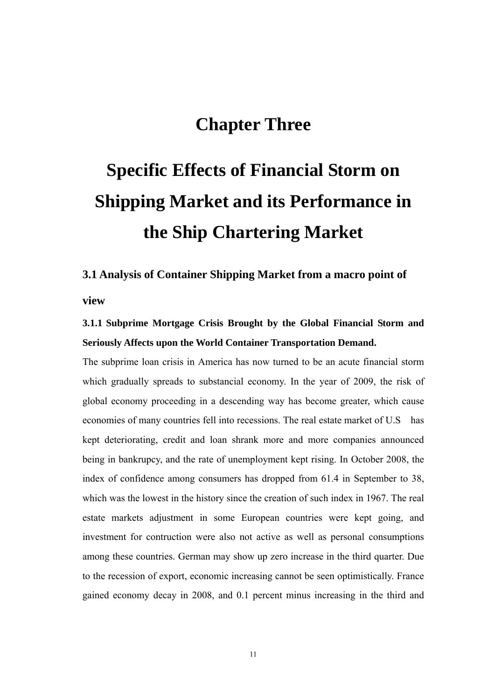# **Chapter Three**

# <span id="page-20-0"></span>**Specific Effects of Financial Storm on Shipping Market and its Performance in the Ship Chartering Market**

# **3.1 Analysis of Container Shipping Market from a macro point of view**

## **3.1.1 Subprime Mortgage Crisis Brought by the Global Financial Storm and Seriously Affects upon the World Container Transportation Demand.**

The subprime loan crisis in America has now turned to be an acute financial storm which gradually spreads to substancial economy. In the year of 2009, the risk of global economy proceeding in a descending way has become greater, which cause economies of many countries fell into recessions. The real estate market of U.S has kept deteriorating, credit and loan shrank more and more companies announced being in bankrupcy, and the rate of unemployment kept rising. In October 2008, the index of confidence among consumers has dropped from 61.4 in September to 38, which was the lowest in the history since the creation of such index in 1967. The real estate markets adjustment in some European countries were kept going, and investment for contruction were also not active as well as personal consumptions among these countries. German may show up zero increase in the third quarter. Due to the recession of export, economic increasing cannot be seen optimistically. France gained economy decay in 2008, and 0.1 percent minus increasing in the third and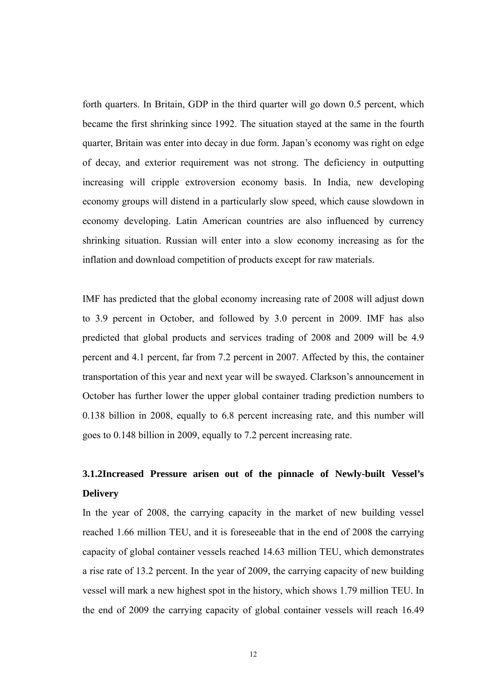<span id="page-21-0"></span>forth quarters. In Britain, GDP in the third quarter will go down 0.5 percent, which became the first shrinking since 1992. The situation stayed at the same in the fourth quarter, Britain was enter into decay in due form. Japan's economy was right on edge of decay, and exterior requirement was not strong. The deficiency in outputting increasing will cripple extroversion economy basis. In India, new developing economy groups will distend in a particularly slow speed, which cause slowdown in economy developing. Latin American countries are also influenced by currency shrinking situation. Russian will enter into a slow economy increasing as for the inflation and download competition of products except for raw materials.

IMF has predicted that the global economy increasing rate of 2008 will adjust down to 3.9 percent in October, and followed by 3.0 percent in 2009. IMF has also predicted that global products and services trading of 2008 and 2009 will be 4.9 percent and 4.1 percent, far from 7.2 percent in 2007. Affected by this, the container transportation of this year and next year will be swayed. Clarkson's announcement in October has further lower the upper global container trading prediction numbers to 0.138 billion in 2008, equally to 6.8 percent increasing rate, and this number will goes to 0.148 billion in 2009, equally to 7.2 percent increasing rate.

## **3.1.2Increased Pressure arisen out of the pinnacle of Newly-built Vessel's Delivery**

In the year of 2008, the carrying capacity in the market of new building vessel reached 1.66 million TEU, and it is foreseeable that in the end of 2008 the carrying capacity of global container vessels reached 14.63 million TEU, which demonstrates a rise rate of 13.2 percent. In the year of 2009, the carrying capacity of new building vessel will mark a new highest spot in the history, which shows 1.79 million TEU. In the end of 2009 the carrying capacity of global container vessels will reach 16.49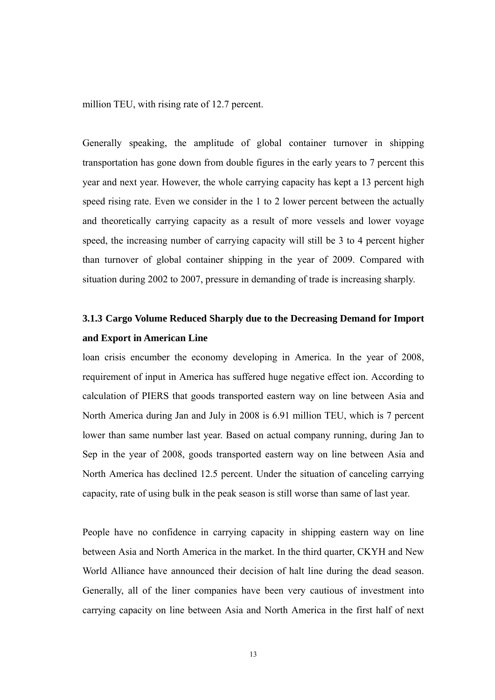<span id="page-22-0"></span>million TEU, with rising rate of 12.7 percent.

Generally speaking, the amplitude of global container turnover in shipping transportation has gone down from double figures in the early years to 7 percent this year and next year. However, the whole carrying capacity has kept a 13 percent high speed rising rate. Even we consider in the 1 to 2 lower percent between the actually and theoretically carrying capacity as a result of more vessels and lower voyage speed, the increasing number of carrying capacity will still be 3 to 4 percent higher than turnover of global container shipping in the year of 2009. Compared with situation during 2002 to 2007, pressure in demanding of trade is increasing sharply.

## **3.1.3 Cargo Volume Reduced Sharply due to the Decreasing Demand for Import and Export in American Line**

loan crisis encumber the economy developing in America. In the year of 2008, requirement of input in America has suffered huge negative effect ion. According to calculation of PIERS that goods transported eastern way on line between Asia and North America during Jan and July in 2008 is 6.91 million TEU, which is 7 percent lower than same number last year. Based on actual company running, during Jan to Sep in the year of 2008, goods transported eastern way on line between Asia and North America has declined 12.5 percent. Under the situation of canceling carrying capacity, rate of using bulk in the peak season is still worse than same of last year.

People have no confidence in carrying capacity in shipping eastern way on line between Asia and North America in the market. In the third quarter, CKYH and New World Alliance have announced their decision of halt line during the dead season. Generally, all of the liner companies have been very cautious of investment into carrying capacity on line between Asia and North America in the first half of next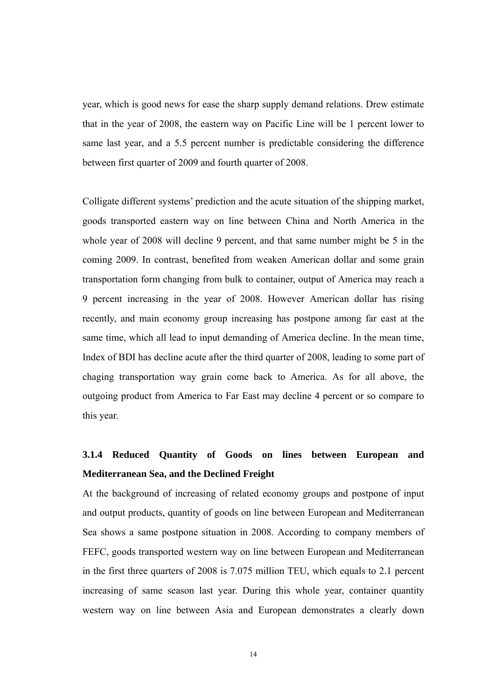<span id="page-23-0"></span>year, which is good news for ease the sharp supply demand relations. Drew estimate that in the year of 2008, the eastern way on Pacific Line will be 1 percent lower to same last year, and a 5.5 percent number is predictable considering the difference between first quarter of 2009 and fourth quarter of 2008.

Colligate different systems' prediction and the acute situation of the shipping market, goods transported eastern way on line between China and North America in the whole year of 2008 will decline 9 percent, and that same number might be 5 in the coming 2009. In contrast, benefited from weaken American dollar and some grain transportation form changing from bulk to container, output of America may reach a 9 percent increasing in the year of 2008. However American dollar has rising recently, and main economy group increasing has postpone among far east at the same time, which all lead to input demanding of America decline. In the mean time, Index of BDI has decline acute after the third quarter of 2008, leading to some part of chaging transportation way grain come back to America. As for all above, the outgoing product from America to Far East may decline 4 percent or so compare to this year.

## **3.1.4 Reduced Quantity of Goods on lines between European and Mediterranean Sea, and the Declined Freight**

At the background of increasing of related economy groups and postpone of input and output products, quantity of goods on line between European and Mediterranean Sea shows a same postpone situation in 2008. According to company members of FEFC, goods transported western way on line between European and Mediterranean in the first three quarters of 2008 is 7.075 million TEU, which equals to 2.1 percent increasing of same season last year. During this whole year, container quantity western way on line between Asia and European demonstrates a clearly down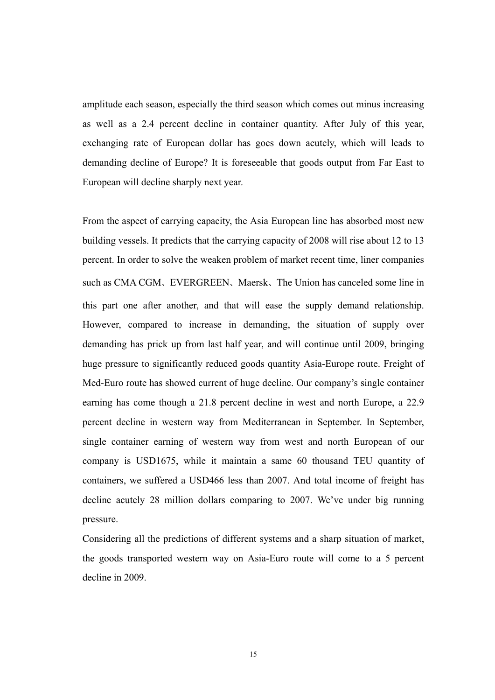amplitude each season, especially the third season which comes out minus increasing as well as a 2.4 percent decline in container quantity. After July of this year, exchanging rate of European dollar has goes down acutely, which will leads to demanding decline of Europe? It is foreseeable that goods output from Far East to European will decline sharply next year.

From the aspect of carrying capacity, the Asia European line has absorbed most new building vessels. It predicts that the carrying capacity of 2008 will rise about 12 to 13 percent. In order to solve the weaken problem of market recent time, liner companies such as CMA CGM、EVERGREEN、Maersk、The Union has canceled some line in this part one after another, and that will ease the supply demand relationship. However, compared to increase in demanding, the situation of supply over demanding has prick up from last half year, and will continue until 2009, bringing huge pressure to significantly reduced goods quantity Asia-Europe route. Freight of Med-Euro route has showed current of huge decline. Our company's single container earning has come though a 21.8 percent decline in west and north Europe, a 22.9 percent decline in western way from Mediterranean in September. In September, single container earning of western way from west and north European of our company is USD1675, while it maintain a same 60 thousand TEU quantity of containers, we suffered a USD466 less than 2007. And total income of freight has decline acutely 28 million dollars comparing to 2007. We've under big running pressure.

Considering all the predictions of different systems and a sharp situation of market, the goods transported western way on Asia-Euro route will come to a 5 percent decline in 2009.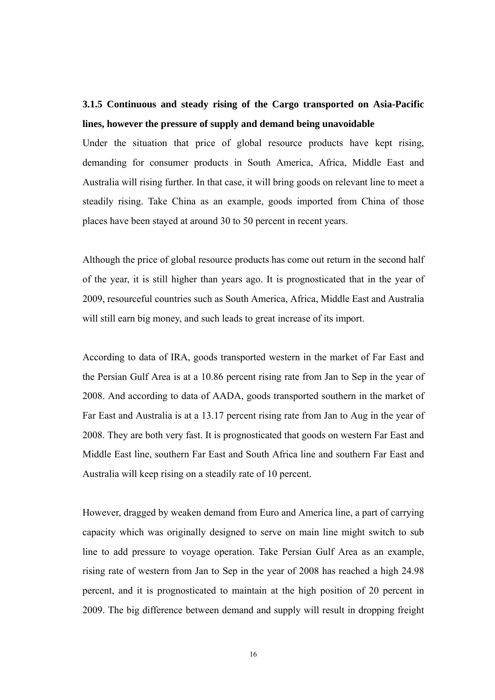## <span id="page-25-0"></span>**3.1.5 Continuous and steady rising of the Cargo transported on Asia-Pacific lines, however the pressure of supply and demand being unavoidable**

Under the situation that price of global resource products have kept rising, demanding for consumer products in South America, Africa, Middle East and Australia will rising further. In that case, it will bring goods on relevant line to meet a steadily rising. Take China as an example, goods imported from China of those places have been stayed at around 30 to 50 percent in recent years.

Although the price of global resource products has come out return in the second half of the year, it is still higher than years ago. It is prognosticated that in the year of 2009, resourceful countries such as South America, Africa, Middle East and Australia will still earn big money, and such leads to great increase of its import.

According to data of IRA, goods transported western in the market of Far East and the Persian Gulf Area is at a 10.86 percent rising rate from Jan to Sep in the year of 2008. And according to data of AADA, goods transported southern in the market of Far East and Australia is at a 13.17 percent rising rate from Jan to Aug in the year of 2008. They are both very fast. It is prognosticated that goods on western Far East and Middle East line, southern Far East and South Africa line and southern Far East and Australia will keep rising on a steadily rate of 10 percent.

However, dragged by weaken demand from Euro and America line, a part of carrying capacity which was originally designed to serve on main line might switch to sub line to add pressure to voyage operation. Take Persian Gulf Area as an example, rising rate of western from Jan to Sep in the year of 2008 has reached a high 24.98 percent, and it is prognosticated to maintain at the high position of 20 percent in 2009. The big difference between demand and supply will result in dropping freight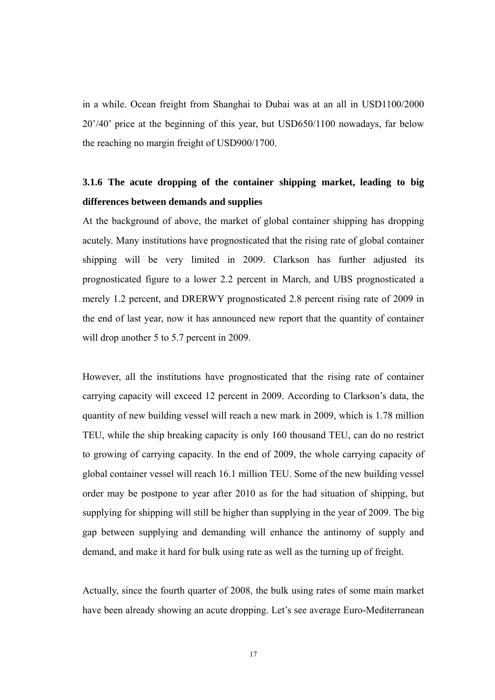<span id="page-26-0"></span>in a while. Ocean freight from Shanghai to Dubai was at an all in USD1100/2000 20'/40' price at the beginning of this year, but USD650/1100 nowadays, far below the reaching no margin freight of USD900/1700.

## **3.1.6 The acute dropping of the container shipping market, leading to big differences between demands and supplies**

At the background of above, the market of global container shipping has dropping acutely. Many institutions have prognosticated that the rising rate of global container shipping will be very limited in 2009. Clarkson has further adjusted its prognosticated figure to a lower 2.2 percent in March, and UBS prognosticated a merely 1.2 percent, and DRERWY prognosticated 2.8 percent rising rate of 2009 in the end of last year, now it has announced new report that the quantity of container will drop another 5 to 5.7 percent in 2009.

However, all the institutions have prognosticated that the rising rate of container carrying capacity will exceed 12 percent in 2009. According to Clarkson's data, the quantity of new building vessel will reach a new mark in 2009, which is 1.78 million TEU, while the ship breaking capacity is only 160 thousand TEU, can do no restrict to growing of carrying capacity. In the end of 2009, the whole carrying capacity of global container vessel will reach 16.1 million TEU. Some of the new building vessel order may be postpone to year after 2010 as for the had situation of shipping, but supplying for shipping will still be higher than supplying in the year of 2009. The big gap between supplying and demanding will enhance the antinomy of supply and demand, and make it hard for bulk using rate as well as the turning up of freight.

Actually, since the fourth quarter of 2008, the bulk using rates of some main market have been already showing an acute dropping. Let's see average Euro-Mediterranean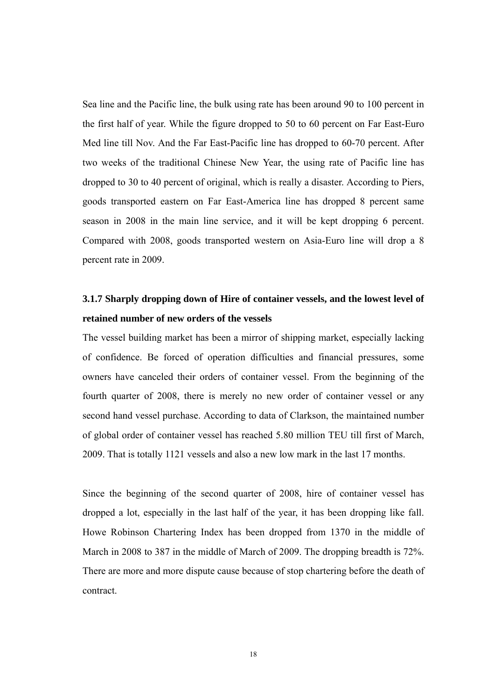<span id="page-27-0"></span>Sea line and the Pacific line, the bulk using rate has been around 90 to 100 percent in the first half of year. While the figure dropped to 50 to 60 percent on Far East-Euro Med line till Nov. And the Far East-Pacific line has dropped to 60-70 percent. After two weeks of the traditional Chinese New Year, the using rate of Pacific line has dropped to 30 to 40 percent of original, which is really a disaster. According to Piers, goods transported eastern on Far East-America line has dropped 8 percent same season in 2008 in the main line service, and it will be kept dropping 6 percent. Compared with 2008, goods transported western on Asia-Euro line will drop a 8 percent rate in 2009.

## **3.1.7 Sharply dropping down of Hire of container vessels, and the lowest level of retained number of new orders of the vessels**

The vessel building market has been a mirror of shipping market, especially lacking of confidence. Be forced of operation difficulties and financial pressures, some owners have canceled their orders of container vessel. From the beginning of the fourth quarter of 2008, there is merely no new order of container vessel or any second hand vessel purchase. According to data of Clarkson, the maintained number of global order of container vessel has reached 5.80 million TEU till first of March, 2009. That is totally 1121 vessels and also a new low mark in the last 17 months.

Since the beginning of the second quarter of 2008, hire of container vessel has dropped a lot, especially in the last half of the year, it has been dropping like fall. Howe Robinson Chartering Index has been dropped from 1370 in the middle of March in 2008 to 387 in the middle of March of 2009. The dropping breadth is 72%. There are more and more dispute cause because of stop chartering before the death of contract.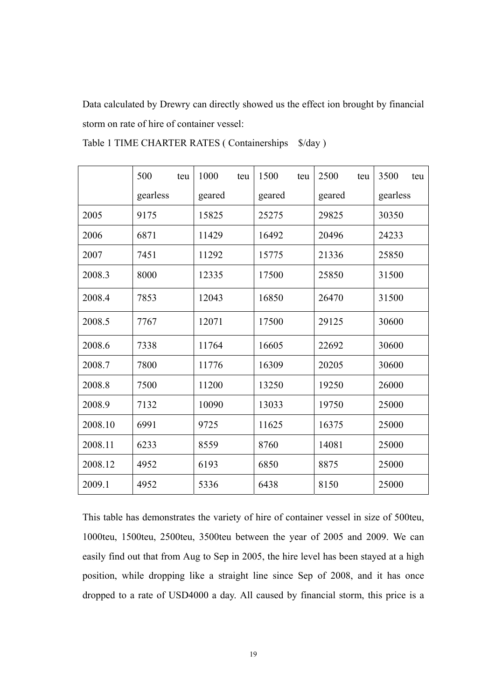<span id="page-28-0"></span>Data calculated by Drewry can directly showed us the effect ion brought by financial storm on rate of hire of container vessel:

|         | 500<br>teu | 1000<br>teu | 1500<br>teu | 2500<br>teu | 3500<br>teu |
|---------|------------|-------------|-------------|-------------|-------------|
|         | gearless   | geared      | geared      | geared      | gearless    |
| 2005    | 9175       | 15825       | 25275       | 29825       | 30350       |
| 2006    | 6871       | 11429       | 16492       | 20496       | 24233       |
| 2007    | 7451       | 11292       | 15775       | 21336       | 25850       |
| 2008.3  | 8000       | 12335       | 17500       | 25850       | 31500       |
| 2008.4  | 7853       | 12043       | 16850       | 26470       | 31500       |
| 2008.5  | 7767       | 12071       | 17500       | 29125       | 30600       |
| 2008.6  | 7338       | 11764       | 16605       | 22692       | 30600       |
| 2008.7  | 7800       | 11776       | 16309       | 20205       | 30600       |
| 2008.8  | 7500       | 11200       | 13250       | 19250       | 26000       |
| 2008.9  | 7132       | 10090       | 13033       | 19750       | 25000       |
| 2008.10 | 6991       | 9725        | 11625       | 16375       | 25000       |
| 2008.11 | 6233       | 8559        | 8760        | 14081       | 25000       |
| 2008.12 | 4952       | 6193        | 6850        | 8875        | 25000       |
| 2009.1  | 4952       | 5336        | 6438        | 8150        | 25000       |

Table 1 TIME CHARTER RATES ( Containerships  $\frac{\sqrt{3}}{4}$  )

This table has demonstrates the variety of hire of container vessel in size of 500teu, 1000teu, 1500teu, 2500teu, 3500teu between the year of 2005 and 2009. We can easily find out that from Aug to Sep in 2005, the hire level has been stayed at a high position, while dropping like a straight line since Sep of 2008, and it has once dropped to a rate of USD4000 a day. All caused by financial storm, this price is a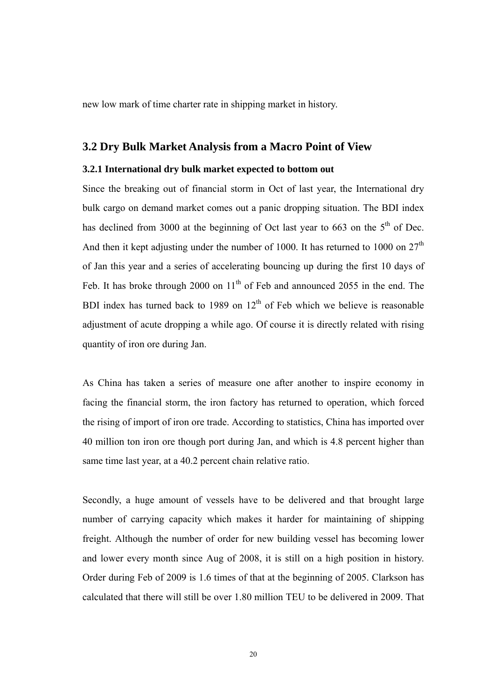<span id="page-29-0"></span>new low mark of time charter rate in shipping market in history.

#### **3.2 Dry Bulk Market Analysis from a Macro Point of View**

#### **3.2.1 International dry bulk market expected to bottom out**

Since the breaking out of financial storm in Oct of last year, the International dry bulk cargo on demand market comes out a panic dropping situation. The BDI index has declined from 3000 at the beginning of Oct last year to 663 on the  $5<sup>th</sup>$  of Dec. And then it kept adjusting under the number of 1000. It has returned to 1000 on  $27<sup>th</sup>$ of Jan this year and a series of accelerating bouncing up during the first 10 days of Feb. It has broke through 2000 on  $11<sup>th</sup>$  of Feb and announced 2055 in the end. The BDI index has turned back to 1989 on  $12<sup>th</sup>$  of Feb which we believe is reasonable adjustment of acute dropping a while ago. Of course it is directly related with rising quantity of iron ore during Jan.

As China has taken a series of measure one after another to inspire economy in facing the financial storm, the iron factory has returned to operation, which forced the rising of import of iron ore trade. According to statistics, China has imported over 40 million ton iron ore though port during Jan, and which is 4.8 percent higher than same time last year, at a 40.2 percent chain relative ratio.

Secondly, a huge amount of vessels have to be delivered and that brought large number of carrying capacity which makes it harder for maintaining of shipping freight. Although the number of order for new building vessel has becoming lower and lower every month since Aug of 2008, it is still on a high position in history. Order during Feb of 2009 is 1.6 times of that at the beginning of 2005. Clarkson has calculated that there will still be over 1.80 million TEU to be delivered in 2009. That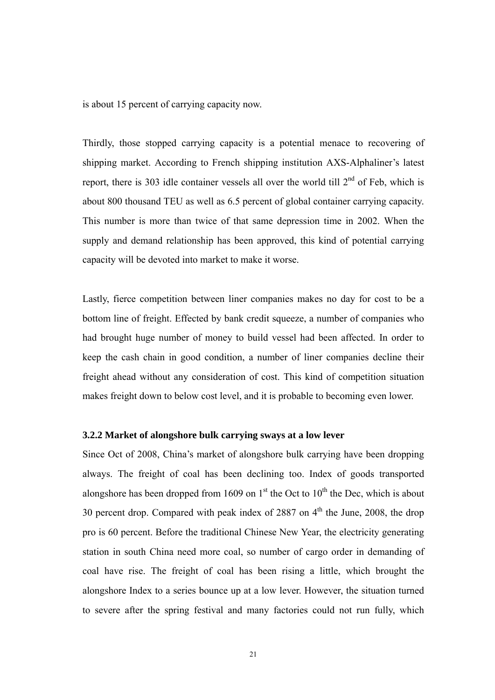<span id="page-30-0"></span>is about 15 percent of carrying capacity now.

Thirdly, those stopped carrying capacity is a potential menace to recovering of shipping market. According to French shipping institution AXS-Alphaliner's latest report, there is 303 idle container vessels all over the world till  $2<sup>nd</sup>$  of Feb, which is about 800 thousand TEU as well as 6.5 percent of global container carrying capacity. This number is more than twice of that same depression time in 2002. When the supply and demand relationship has been approved, this kind of potential carrying capacity will be devoted into market to make it worse.

Lastly, fierce competition between liner companies makes no day for cost to be a bottom line of freight. Effected by bank credit squeeze, a number of companies who had brought huge number of money to build vessel had been affected. In order to keep the cash chain in good condition, a number of liner companies decline their freight ahead without any consideration of cost. This kind of competition situation makes freight down to below cost level, and it is probable to becoming even lower.

#### **3.2.2 Market of alongshore bulk carrying sways at a low lever**

Since Oct of 2008, China's market of alongshore bulk carrying have been dropping always. The freight of coal has been declining too. Index of goods transported alongshore has been dropped from 1609 on  $1<sup>st</sup>$  the Oct to  $10<sup>th</sup>$  the Dec, which is about 30 percent drop. Compared with peak index of  $2887$  on  $4<sup>th</sup>$  the June, 2008, the drop pro is 60 percent. Before the traditional Chinese New Year, the electricity generating station in south China need more coal, so number of cargo order in demanding of coal have rise. The freight of coal has been rising a little, which brought the alongshore Index to a series bounce up at a low lever. However, the situation turned to severe after the spring festival and many factories could not run fully, which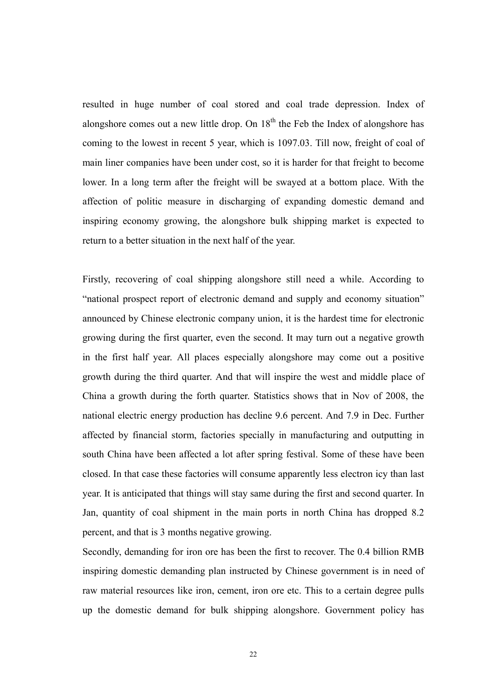resulted in huge number of coal stored and coal trade depression. Index of alongshore comes out a new little drop. On  $18<sup>th</sup>$  the Feb the Index of alongshore has coming to the lowest in recent 5 year, which is 1097.03. Till now, freight of coal of main liner companies have been under cost, so it is harder for that freight to become lower. In a long term after the freight will be swayed at a bottom place. With the affection of politic measure in discharging of expanding domestic demand and inspiring economy growing, the alongshore bulk shipping market is expected to return to a better situation in the next half of the year.

Firstly, recovering of coal shipping alongshore still need a while. According to "national prospect report of electronic demand and supply and economy situation" announced by Chinese electronic company union, it is the hardest time for electronic growing during the first quarter, even the second. It may turn out a negative growth in the first half year. All places especially alongshore may come out a positive growth during the third quarter. And that will inspire the west and middle place of China a growth during the forth quarter. Statistics shows that in Nov of 2008, the national electric energy production has decline 9.6 percent. And 7.9 in Dec. Further affected by financial storm, factories specially in manufacturing and outputting in south China have been affected a lot after spring festival. Some of these have been closed. In that case these factories will consume apparently less electron icy than last year. It is anticipated that things will stay same during the first and second quarter. In Jan, quantity of coal shipment in the main ports in north China has dropped 8.2 percent, and that is 3 months negative growing.

Secondly, demanding for iron ore has been the first to recover. The 0.4 billion RMB inspiring domestic demanding plan instructed by Chinese government is in need of raw material resources like iron, cement, iron ore etc. This to a certain degree pulls up the domestic demand for bulk shipping alongshore. Government policy has

22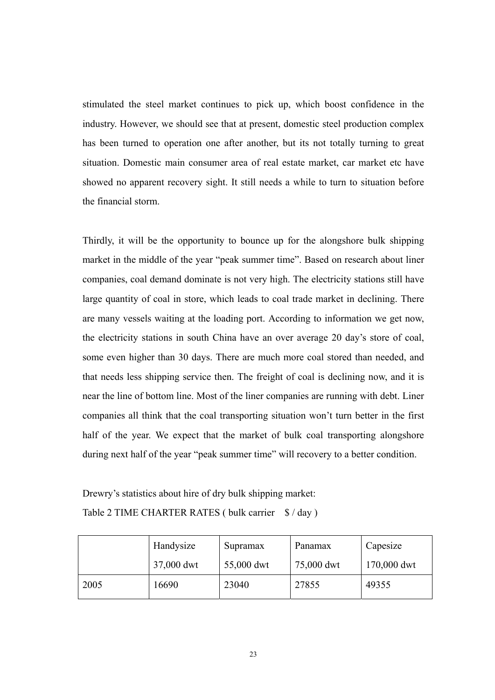<span id="page-32-0"></span>stimulated the steel market continues to pick up, which boost confidence in the industry. However, we should see that at present, domestic steel production complex has been turned to operation one after another, but its not totally turning to great situation. Domestic main consumer area of real estate market, car market etc have showed no apparent recovery sight. It still needs a while to turn to situation before the financial storm.

Thirdly, it will be the opportunity to bounce up for the alongshore bulk shipping market in the middle of the year "peak summer time". Based on research about liner companies, coal demand dominate is not very high. The electricity stations still have large quantity of coal in store, which leads to coal trade market in declining. There are many vessels waiting at the loading port. According to information we get now, the electricity stations in south China have an over average 20 day's store of coal, some even higher than 30 days. There are much more coal stored than needed, and that needs less shipping service then. The freight of coal is declining now, and it is near the line of bottom line. Most of the liner companies are running with debt. Liner companies all think that the coal transporting situation won't turn better in the first half of the year. We expect that the market of bulk coal transporting alongshore during next half of the year "peak summer time" will recovery to a better condition.

Drewry's statistics about hire of dry bulk shipping market: Table 2 TIME CHARTER RATES ( bulk carrier  $$ / day$  )

|      | Handysize  | Supramax   | Panamax    | Capesize    |
|------|------------|------------|------------|-------------|
|      | 37,000 dwt | 55,000 dwt | 75,000 dwt | 170,000 dwt |
| 2005 | 16690      | 23040      | 27855      | 49355       |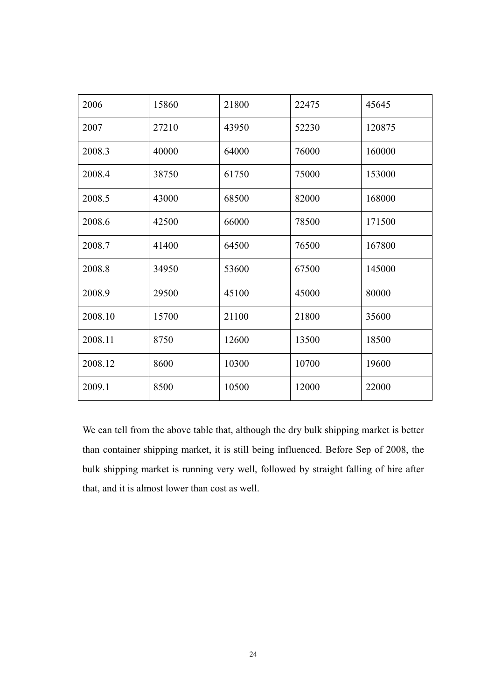| 2006    | 15860 | 21800 | 22475 | 45645  |
|---------|-------|-------|-------|--------|
| 2007    | 27210 | 43950 | 52230 | 120875 |
| 2008.3  | 40000 | 64000 | 76000 | 160000 |
| 2008.4  | 38750 | 61750 | 75000 | 153000 |
| 2008.5  | 43000 | 68500 | 82000 | 168000 |
| 2008.6  | 42500 | 66000 | 78500 | 171500 |
| 2008.7  | 41400 | 64500 | 76500 | 167800 |
| 2008.8  | 34950 | 53600 | 67500 | 145000 |
| 2008.9  | 29500 | 45100 | 45000 | 80000  |
| 2008.10 | 15700 | 21100 | 21800 | 35600  |
| 2008.11 | 8750  | 12600 | 13500 | 18500  |
| 2008.12 | 8600  | 10300 | 10700 | 19600  |
| 2009.1  | 8500  | 10500 | 12000 | 22000  |

We can tell from the above table that, although the dry bulk shipping market is better than container shipping market, it is still being influenced. Before Sep of 2008, the bulk shipping market is running very well, followed by straight falling of hire after that, and it is almost lower than cost as well.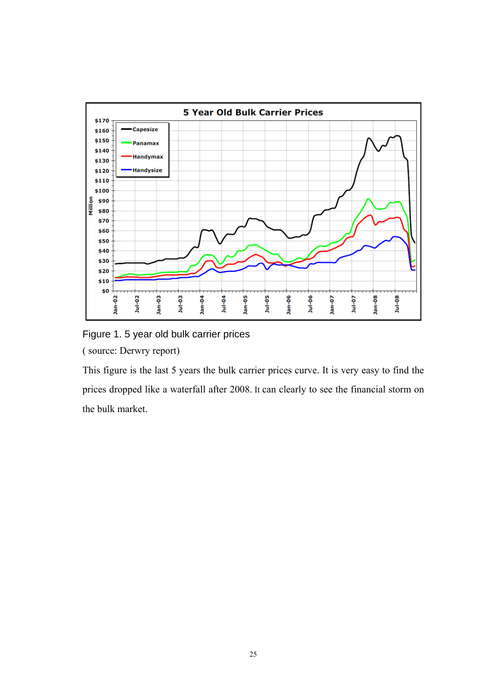<span id="page-34-0"></span>

Figure 1. 5 year old bulk carrier prices ( source: Derwry report)

This figure is the last 5 years the bulk carrier prices curve. It is very easy to find the prices dropped like a waterfall after 2008. It can clearly to see the financial storm on the bulk market.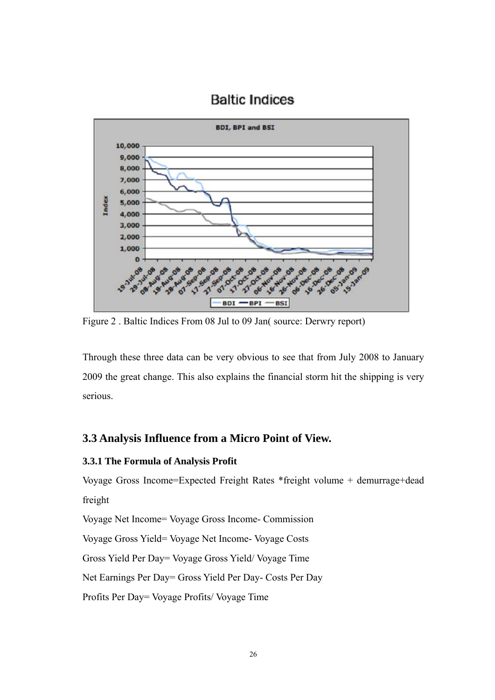<span id="page-35-0"></span>

## **Baltic Indices**

Figure 2 . Baltic Indices From 08 Jul to 09 Jan( source: Derwry report)

Through these three data can be very obvious to see that from July 2008 to January 2009 the great change. This also explains the financial storm hit the shipping is very serious.

#### **3.3 Analysis Influence from a Micro Point of View.**

#### **3.3.1 The Formula of Analysis Profit**

Voyage Gross Income=Expected Freight Rates \*freight volume + demurrage+dead freight

Voyage Net Income= Voyage Gross Income- Commission

Voyage Gross Yield= Voyage Net Income- Voyage Costs

Gross Yield Per Day= Voyage Gross Yield/ Voyage Time

Net Earnings Per Day= Gross Yield Per Day- Costs Per Day

Profits Per Day= Voyage Profits/ Voyage Time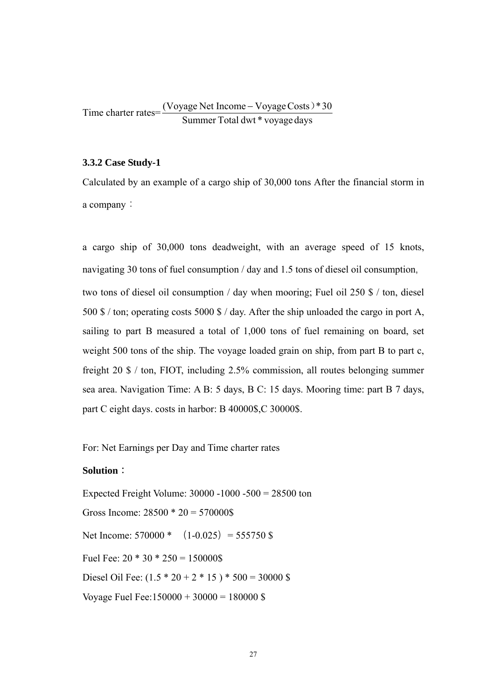<span id="page-36-0"></span>Time charter rates= $\frac{(VoyageNet Income - VoyagerCosts)*30}{2}$ Summer Total dwt \* voyage days

#### **3.3.2 Case Study-1**

Calculated by an example of a cargo ship of 30,000 tons After the financial storm in a company:

a cargo ship of 30,000 tons deadweight, with an average speed of 15 knots, navigating 30 tons of fuel consumption / day and 1.5 tons of diesel oil consumption, two tons of diesel oil consumption / day when mooring; Fuel oil 250 \$ / ton, diesel 500 \$ / ton; operating costs 5000 \$ / day. After the ship unloaded the cargo in port A, sailing to part B measured a total of 1,000 tons of fuel remaining on board, set weight 500 tons of the ship. The voyage loaded grain on ship, from part B to part c, freight 20 \$ / ton, FIOT, including 2.5% commission, all routes belonging summer sea area. Navigation Time: A B: 5 days, B C: 15 days. Mooring time: part B 7 days, part C eight days. costs in harbor: B 40000\$,C 30000\$.

For: Net Earnings per Day and Time charter rates

#### **Solution**:

Expected Freight Volume: 30000 -1000 -500 = 28500 ton Gross Income:  $28500 * 20 = 570000$ \$ Net Income:  $570000 * (1-0.025) = 555750$  \$ Fuel Fee:  $20 * 30 * 250 = 150000$ \$ Diesel Oil Fee:  $(1.5 * 20 + 2 * 15) * 500 = 30000$  \$ Voyage Fuel Fee: $150000 + 30000 = 180000$  \$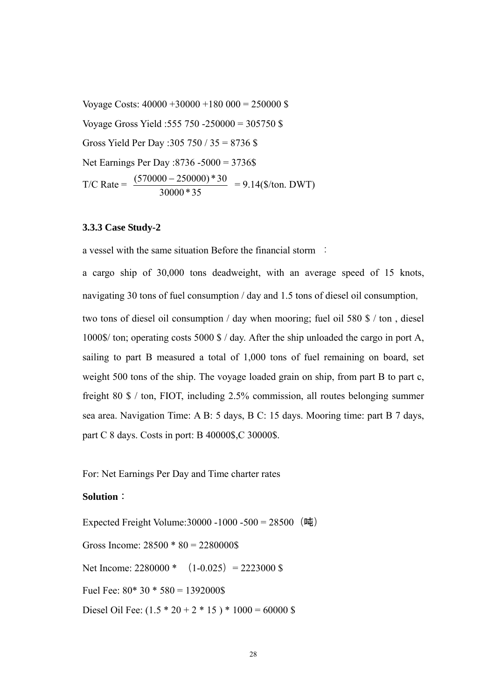<span id="page-37-0"></span>Voyage Costs: 40000 +30000 +180 000 = 250000 \$ Voyage Gross Yield :555 750 -250000 = 305750 \$ Gross Yield Per Day :305 750 / 35 = 8736 \$ Net Earnings Per Day :8736 -5000 = 3736\$  $T/C$  Rate  $=$ 30000 \* 35  $\frac{(570000 - 250000) * 30}{2500000} = 9.14$  (\$/ton. DWT)

#### **3.3.3 Case Study-2**

a vessel with the same situation Before the financial storm :

a cargo ship of 30,000 tons deadweight, with an average speed of 15 knots, navigating 30 tons of fuel consumption / day and 1.5 tons of diesel oil consumption, two tons of diesel oil consumption / day when mooring; fuel oil 580 \$ / ton , diesel 1000\$/ ton; operating costs 5000 \$ / day. After the ship unloaded the cargo in port A, sailing to part B measured a total of 1,000 tons of fuel remaining on board, set weight 500 tons of the ship. The voyage loaded grain on ship, from part B to part c, freight 80 \$ / ton, FIOT, including 2.5% commission, all routes belonging summer sea area. Navigation Time: A B: 5 days, B C: 15 days. Mooring time: part B 7 days, part C 8 days. Costs in port: B 40000\$,C 30000\$.

For: Net Earnings Per Day and Time charter rates

#### **Solution**:

Expected Freight Volume: 30000 - 1000 - 500 = 28500 (吨) Gross Income:  $28500 * 80 = 2280000$ \$ Net Income:  $2280000 * (1-0.025) = 2223000$  \$ Fuel Fee:  $80*30*580 = 1392000$ \$ Diesel Oil Fee:  $(1.5 * 20 + 2 * 15) * 1000 = 60000$  \$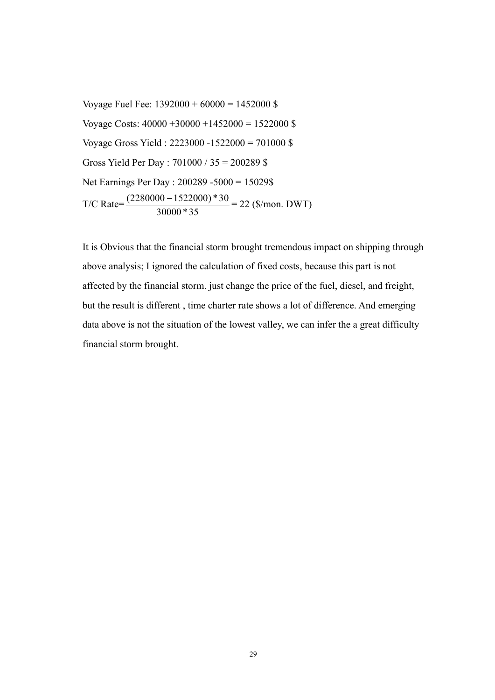Voyage Fuel Fee:  $1392000 + 60000 = 1452000$  \$ Voyage Costs: 40000 +30000 +1452000 = 1522000 \$ Voyage Gross Yield : 2223000 -1522000 = 701000 \$ Gross Yield Per Day : 701000 / 35 = 200289 \$ Net Earnings Per Day : 200289 -5000 = 15029\$ T/C Rate= 30000 \* 35  $\frac{(2280000 - 1522000) * 30}{28888425} = 22 \text{ (\$/mon. DWT)}$ 

It is Obvious that the financial storm brought tremendous impact on shipping through above analysis; I ignored the calculation of fixed costs, because this part is not affected by the financial storm. just change the price of the fuel, diesel, and freight, but the result is different , time charter rate shows a lot of difference. And emerging data above is not the situation of the lowest valley, we can infer the a great difficulty financial storm brought.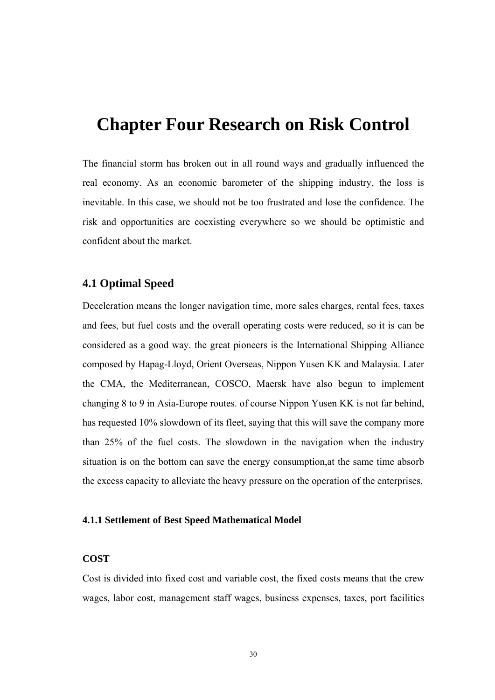# <span id="page-39-0"></span>**Chapter Four Research on Risk Control**

The financial storm has broken out in all round ways and gradually influenced the real economy. As an economic barometer of the shipping industry, the loss is inevitable. In this case, we should not be too frustrated and lose the confidence. The risk and opportunities are coexisting everywhere so we should be optimistic and confident about the market.

#### **4.1 Optimal Speed**

Deceleration means the longer navigation time, more sales charges, rental fees, taxes and fees, but fuel costs and the overall operating costs were reduced, so it is can be considered as a good way. the great pioneers is the International Shipping Alliance composed by Hapag-Lloyd, Orient Overseas, Nippon Yusen KK and Malaysia. Later the CMA, the Mediterranean, COSCO, Maersk have also begun to implement changing 8 to 9 in Asia-Europe routes. of course Nippon Yusen KK is not far behind, has requested 10% slowdown of its fleet, saying that this will save the company more than 25% of the fuel costs. The slowdown in the navigation when the industry situation is on the bottom can save the energy consumption,at the same time absorb the excess capacity to alleviate the heavy pressure on the operation of the enterprises.

#### **4.1.1 Settlement of Best Speed Mathematical Model**

#### **COST**

Cost is divided into fixed cost and variable cost, the fixed costs means that the crew wages, labor cost, management staff wages, business expenses, taxes, port facilities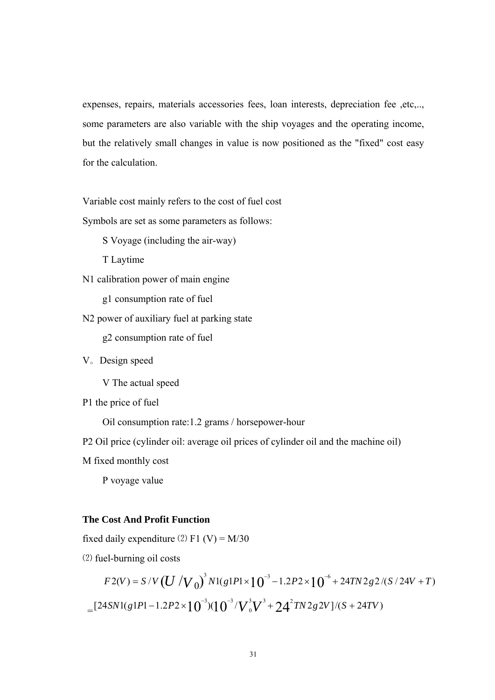expenses, repairs, materials accessories fees, loan interests, depreciation fee ,etc,.., some parameters are also variable with the ship voyages and the operating income, but the relatively small changes in value is now positioned as the "fixed" cost easy for the calculation.

Variable cost mainly refers to the cost of fuel cost

Symbols are set as some parameters as follows:

S Voyage (including the air-way)

T Laytime

N1 calibration power of main engine

g1 consumption rate of fuel

N2 power of auxiliary fuel at parking state

g2 consumption rate of fuel

V。Design speed

V The actual speed

P1 the price of fuel

Oil consumption rate:1.2 grams / horsepower-hour

P2 Oil price (cylinder oil: average oil prices of cylinder oil and the machine oil)

M fixed monthly cost

P voyage value

#### **The Cost And Profit Function**

fixed daily expenditure  $(2)$  F1 (V) = M/30

⑵ fuel-burning oil costs

$$
F2(V) = S/V \left( U / V_0 \right)^3 N1(g1P1 \times 10^{-3} - 1.2P2 \times 10^{-6} + 24TN2g2/(S/24V + T))
$$
  
= 
$$
[24SN1(g1P1 - 1.2P2 \times 10^{-3})(10^{-3}/V_0^3V^3 + 24^2TN2g2V]/(S + 24TV))
$$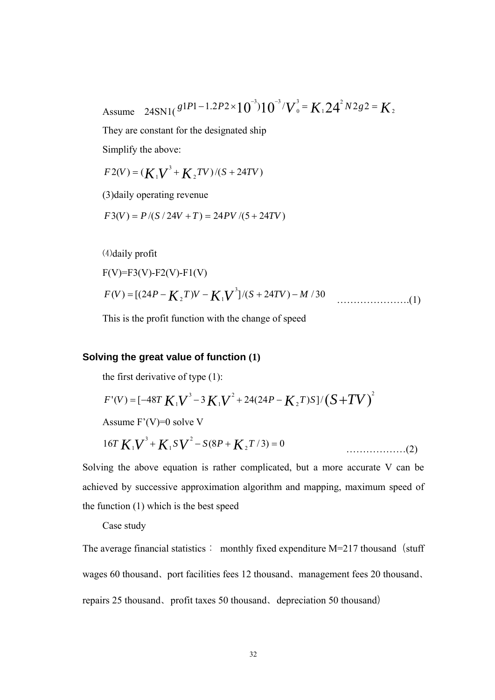Assume  $24\text{SN1}(\frac{g1P1-1.2P2\times10^{-3}}{10^{-3}})10^{-3}/V_0^3 = K_1 24^2 N 2g2 = K_2$ 1 3  $\mathbf 0$  $1P1 - 1.2P2 \times 10^{-3}$  $10^{-3}$  $V_0^3 = K_1 24^2 N2g2 =$ 

They are constant for the designated ship

Simplify the above:

$$
F2(V) = (K_1V^3 + K_2TV)/(S + 24TV)
$$

(3)daily operating revenue

 $F3(V) = P/(S/24V+T) = 24PV/(5+24TV)$ 

⑷daily profit

$$
F(V)=F3(V)-F2(V)-F1(V)
$$

$$
F(V) = [(24P - K2T)V - K1V3]/(S + 24TV) - M/30
$$
 (1)

This is the profit function with the change of speed

#### **Solving the great value of function (1)**

the first derivative of type (1):

$$
F'(V) = [-48T K1V3 - 3K1V2 + 24(24P - K2T)S]/(S + TV)2
$$

Assume F'(V)=0 solve V

$$
16T K_1 V^3 + K_1 S V^2 - S(8P + K_2 T/3) = 0
$$
\n(2)

Solving the above equation is rather complicated, but a more accurate V can be achieved by successive approximation algorithm and mapping, maximum speed of the function (1) which is the best speed

Case study

The average financial statistics: monthly fixed expenditure  $M=217$  thousand (stuff wages 60 thousand、port facilities fees 12 thousand、management fees 20 thousand、 repairs 25 thousand、profit taxes 50 thousand、depreciation 50 thousand)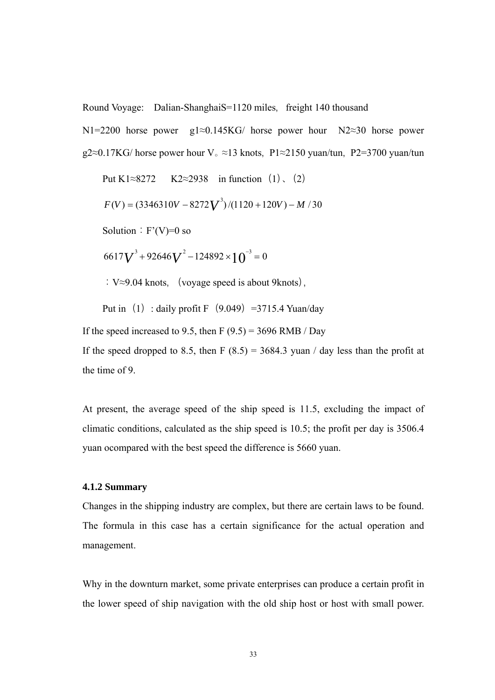<span id="page-42-0"></span>Round Voyage: Dalian-ShanghaiS=1120 miles, freight 140 thousand

N1=2200 horse power g1≈0.145KG/ horse power hour N2≈30 horse power g2≈0.17KG/ horse power hour V<sub>°</sub> ≈13 knots, P1≈2150 yuan/tun, P2=3700 yuan/tun

Put 
$$
K1 \approx 8272
$$
  $K2 \approx 2938$  in function (1), (2)

$$
F(V) = (3346310V - 8272V^{3})/(1120 + 120V) - M / 30
$$

Solution:  $F'(V)=0$  so

$$
6617V^3 + 92646V^2 - 124892 \times 10^{-3} = 0
$$

: V≈9.04 knots, (voyage speed is about 9knots),

Put in (1) : daily profit F $(9.049)$  =3715.4 Yuan/day

If the speed increased to 9.5, then F  $(9.5) = 3696$  RMB / Day If the speed dropped to 8.5, then F  $(8.5) = 3684.3$  yuan / day less than the profit at the time of 9.

At present, the average speed of the ship speed is 11.5, excluding the impact of climatic conditions, calculated as the ship speed is 10.5; the profit per day is 3506.4 yuan ocompared with the best speed the difference is 5660 yuan.

#### **4.1.2 Summary**

Changes in the shipping industry are complex, but there are certain laws to be found. The formula in this case has a certain significance for the actual operation and management.

Why in the downturn market, some private enterprises can produce a certain profit in the lower speed of ship navigation with the old ship host or host with small power.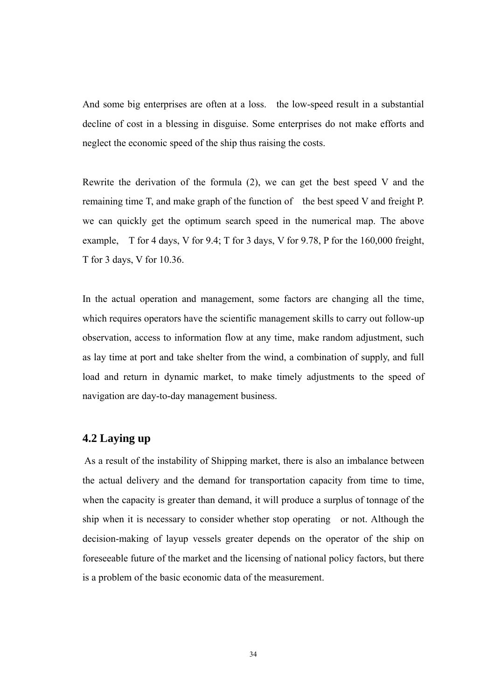<span id="page-43-0"></span>And some big enterprises are often at a loss. the low-speed result in a substantial decline of cost in a blessing in disguise. Some enterprises do not make efforts and neglect the economic speed of the ship thus raising the costs.

Rewrite the derivation of the formula (2), we can get the best speed V and the remaining time T, and make graph of the function of the best speed V and freight P. we can quickly get the optimum search speed in the numerical map. The above example, T for 4 days, V for 9.4; T for 3 days, V for 9.78, P for the 160,000 freight, T for 3 days, V for 10.36.

In the actual operation and management, some factors are changing all the time, which requires operators have the scientific management skills to carry out follow-up observation, access to information flow at any time, make random adjustment, such as lay time at port and take shelter from the wind, a combination of supply, and full load and return in dynamic market, to make timely adjustments to the speed of navigation are day-to-day management business.

#### **4.2 Laying up**

 As a result of the instability of Shipping market, there is also an imbalance between the actual delivery and the demand for transportation capacity from time to time, when the capacity is greater than demand, it will produce a surplus of tonnage of the ship when it is necessary to consider whether stop operating or not. Although the decision-making of layup vessels greater depends on the operator of the ship on foreseeable future of the market and the licensing of national policy factors, but there is a problem of the basic economic data of the measurement.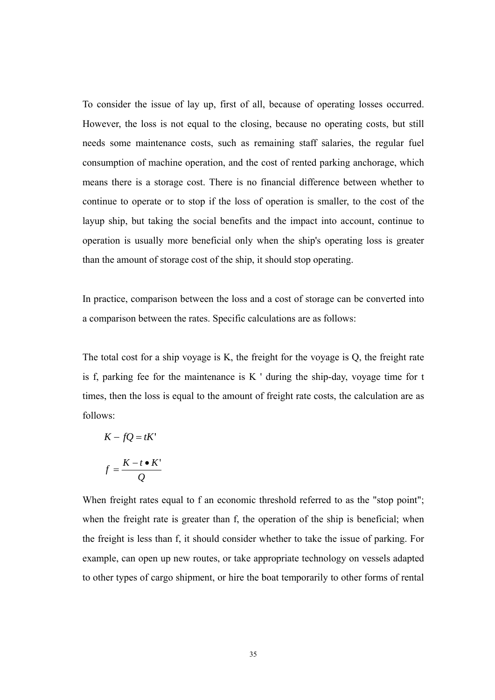To consider the issue of lay up, first of all, because of operating losses occurred. However, the loss is not equal to the closing, because no operating costs, but still needs some maintenance costs, such as remaining staff salaries, the regular fuel consumption of machine operation, and the cost of rented parking anchorage, which means there is a storage cost. There is no financial difference between whether to continue to operate or to stop if the loss of operation is smaller, to the cost of the layup ship, but taking the social benefits and the impact into account, continue to operation is usually more beneficial only when the ship's operating loss is greater than the amount of storage cost of the ship, it should stop operating.

In practice, comparison between the loss and a cost of storage can be converted into a comparison between the rates. Specific calculations are as follows:

The total cost for a ship voyage is K, the freight for the voyage is Q, the freight rate is f, parking fee for the maintenance is  $K'$  during the ship-day, voyage time for  $t$ times, then the loss is equal to the amount of freight rate costs, the calculation are as follows:

$$
K - fQ = tK'
$$

$$
f = \frac{K - t \cdot K'}{Q}
$$

When freight rates equal to f an economic threshold referred to as the "stop point"; when the freight rate is greater than f, the operation of the ship is beneficial; when the freight is less than f, it should consider whether to take the issue of parking. For example, can open up new routes, or take appropriate technology on vessels adapted to other types of cargo shipment, or hire the boat temporarily to other forms of rental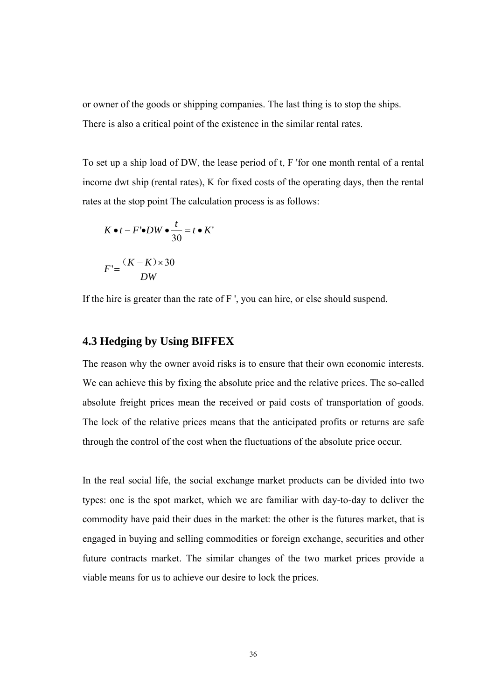<span id="page-45-0"></span>or owner of the goods or shipping companies. The last thing is to stop the ships. There is also a critical point of the existence in the similar rental rates.

To set up a ship load of DW, the lease period of t, F 'for one month rental of a rental income dwt ship (rental rates), K for fixed costs of the operating days, then the rental rates at the stop point The calculation process is as follows:

$$
K \bullet t - F' \bullet DW \bullet \frac{t}{30} = t \bullet K'
$$

$$
F' = \frac{(K - K) \times 30}{8 \times 30}
$$

*DW*

If the hire is greater than the rate of 
$$
F'
$$
, you can hire, or else should suspend.

#### **4.3 Hedging by Using BIFFEX**

The reason why the owner avoid risks is to ensure that their own economic interests. We can achieve this by fixing the absolute price and the relative prices. The so-called absolute freight prices mean the received or paid costs of transportation of goods. The lock of the relative prices means that the anticipated profits or returns are safe through the control of the cost when the fluctuations of the absolute price occur.

In the real social life, the social exchange market products can be divided into two types: one is the spot market, which we are familiar with day-to-day to deliver the commodity have paid their dues in the market: the other is the futures market, that is engaged in buying and selling commodities or foreign exchange, securities and other future contracts market. The similar changes of the two market prices provide a viable means for us to achieve our desire to lock the prices.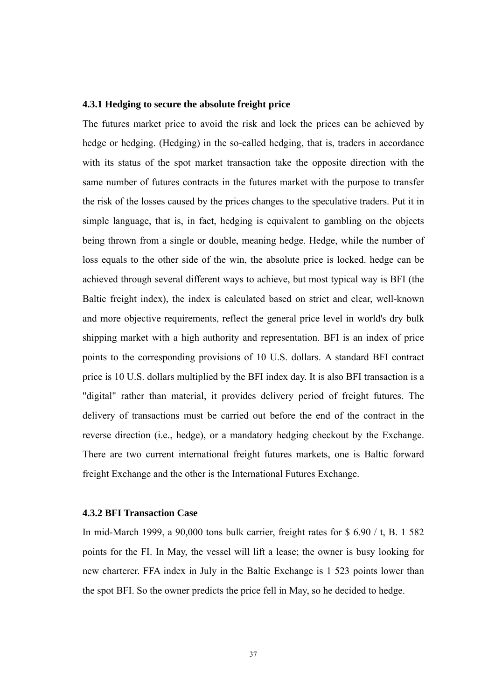#### <span id="page-46-0"></span>**4.3.1 Hedging to secure the absolute freight price**

The futures market price to avoid the risk and lock the prices can be achieved by hedge or hedging. (Hedging) in the so-called hedging, that is, traders in accordance with its status of the spot market transaction take the opposite direction with the same number of futures contracts in the futures market with the purpose to transfer the risk of the losses caused by the prices changes to the speculative traders. Put it in simple language, that is, in fact, hedging is equivalent to gambling on the objects being thrown from a single or double, meaning hedge. Hedge, while the number of loss equals to the other side of the win, the absolute price is locked. hedge can be achieved through several different ways to achieve, but most typical way is BFI (the Baltic freight index), the index is calculated based on strict and clear, well-known and more objective requirements, reflect the general price level in world's dry bulk shipping market with a high authority and representation. BFI is an index of price points to the corresponding provisions of 10 U.S. dollars. A standard BFI contract price is 10 U.S. dollars multiplied by the BFI index day. It is also BFI transaction is a "digital" rather than material, it provides delivery period of freight futures. The delivery of transactions must be carried out before the end of the contract in the reverse direction (i.e., hedge), or a mandatory hedging checkout by the Exchange. There are two current international freight futures markets, one is Baltic forward freight Exchange and the other is the International Futures Exchange.

#### **4.3.2 BFI Transaction Case**

In mid-March 1999, a 90,000 tons bulk carrier, freight rates for \$ 6.90 / t, B. 1 582 points for the FI. In May, the vessel will lift a lease; the owner is busy looking for new charterer. FFA index in July in the Baltic Exchange is 1 523 points lower than the spot BFI. So the owner predicts the price fell in May, so he decided to hedge.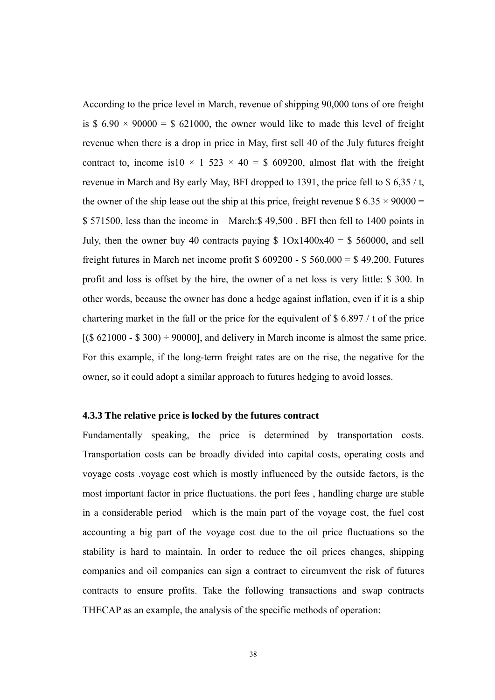<span id="page-47-0"></span>According to the price level in March, revenue of shipping 90,000 tons of ore freight is \$  $6.90 \times 90000 =$  \$ 621000, the owner would like to made this level of freight revenue when there is a drop in price in May, first sell 40 of the July futures freight contract to, income is10  $\times$  1 523  $\times$  40 = \$ 609200, almost flat with the freight revenue in March and By early May, BFI dropped to 1391, the price fell to  $\frac{635}{t}$ , the owner of the ship lease out the ship at this price, freight revenue \$  $6.35 \times 90000 =$ \$ 571500, less than the income in March:\$ 49,500 . BFI then fell to 1400 points in July, then the owner buy 40 contracts paying  $$ 10x1400x40 = $ 560000$ , and sell freight futures in March net income profit  $$609200 - $560,000 = $49,200$ . Futures profit and loss is offset by the hire, the owner of a net loss is very little: \$ 300. In other words, because the owner has done a hedge against inflation, even if it is a ship chartering market in the fall or the price for the equivalent of \$ 6.897 / t of the price  $[(\$ 621000 - \$ 300) \div 90000]$ , and delivery in March income is almost the same price. For this example, if the long-term freight rates are on the rise, the negative for the owner, so it could adopt a similar approach to futures hedging to avoid losses.

#### **4.3.3 The relative price is locked by the futures contract**

Fundamentally speaking, the price is determined by transportation costs. Transportation costs can be broadly divided into capital costs, operating costs and voyage costs .voyage cost which is mostly influenced by the outside factors, is the most important factor in price fluctuations. the port fees , handling charge are stable in a considerable period which is the main part of the voyage cost, the fuel cost accounting a big part of the voyage cost due to the oil price fluctuations so the stability is hard to maintain. In order to reduce the oil prices changes, shipping companies and oil companies can sign a contract to circumvent the risk of futures contracts to ensure profits. Take the following transactions and swap contracts THECAP as an example, the analysis of the specific methods of operation: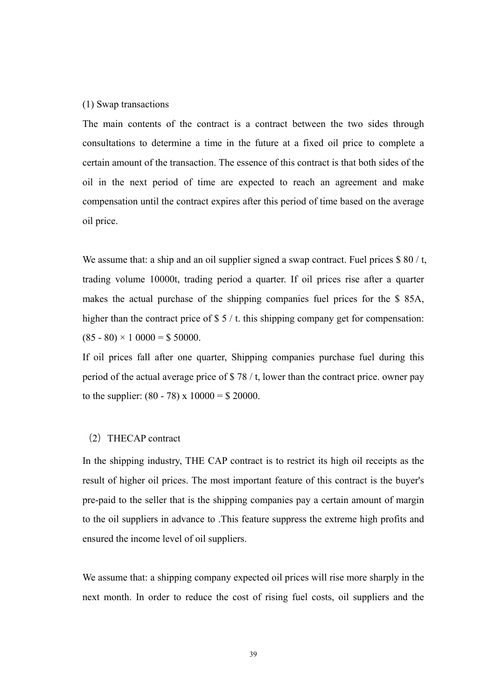#### (1) Swap transactions

The main contents of the contract is a contract between the two sides through consultations to determine a time in the future at a fixed oil price to complete a certain amount of the transaction. The essence of this contract is that both sides of the oil in the next period of time are expected to reach an agreement and make compensation until the contract expires after this period of time based on the average oil price.

We assume that: a ship and an oil supplier signed a swap contract. Fuel prices  $\frac{1}{2}$  80 / t, trading volume 10000t, trading period a quarter. If oil prices rise after a quarter makes the actual purchase of the shipping companies fuel prices for the \$ 85A, higher than the contract price of \$5 / t. this shipping company get for compensation:  $(85 - 80) \times 10000 = $50000$ .

If oil prices fall after one quarter, Shipping companies purchase fuel during this period of the actual average price of \$ 78 / t, lower than the contract price. owner pay to the supplier:  $(80 - 78) \times 10000 = $20000$ .

#### (2) THECAP contract

In the shipping industry, THE CAP contract is to restrict its high oil receipts as the result of higher oil prices. The most important feature of this contract is the buyer's pre-paid to the seller that is the shipping companies pay a certain amount of margin to the oil suppliers in advance to .This feature suppress the extreme high profits and ensured the income level of oil suppliers.

We assume that: a shipping company expected oil prices will rise more sharply in the next month. In order to reduce the cost of rising fuel costs, oil suppliers and the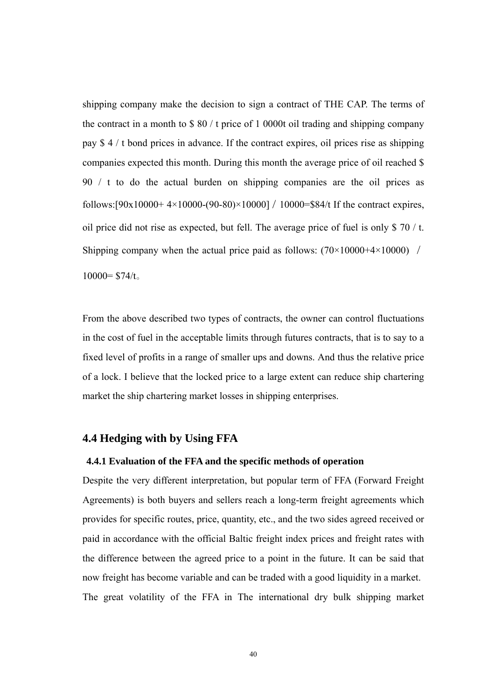<span id="page-49-0"></span>shipping company make the decision to sign a contract of THE CAP. The terms of the contract in a month to \$ 80 / t price of 1 0000t oil trading and shipping company pay \$ 4 / t bond prices in advance. If the contract expires, oil prices rise as shipping companies expected this month. During this month the average price of oil reached \$ 90 / t to do the actual burden on shipping companies are the oil prices as follows: $[90x10000+4\times10000-(90-80)\times10000] / 10000=$ \$84/t If the contract expires, oil price did not rise as expected, but fell. The average price of fuel is only \$70  $/$  t. Shipping company when the actual price paid as follows:  $(70 \times 10000 + 4 \times 10000)$  /  $10000 = $74/t$ 

From the above described two types of contracts, the owner can control fluctuations in the cost of fuel in the acceptable limits through futures contracts, that is to say to a fixed level of profits in a range of smaller ups and downs. And thus the relative price of a lock. I believe that the locked price to a large extent can reduce ship chartering market the ship chartering market losses in shipping enterprises.

#### **4.4 Hedging with by Using FFA**

#### **4.4.1 Evaluation of the FFA and the specific methods of operation**

Despite the very different interpretation, but popular term of FFA (Forward Freight Agreements) is both buyers and sellers reach a long-term freight agreements which provides for specific routes, price, quantity, etc., and the two sides agreed received or paid in accordance with the official Baltic freight index prices and freight rates with the difference between the agreed price to a point in the future. It can be said that now freight has become variable and can be traded with a good liquidity in a market. The great volatility of the FFA in The international dry bulk shipping market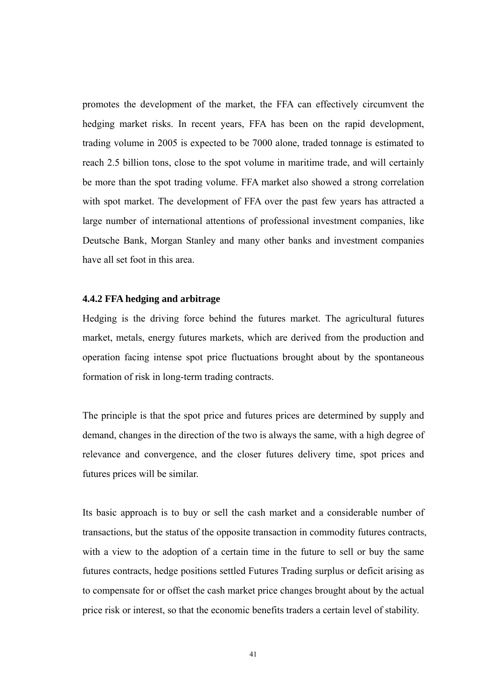<span id="page-50-0"></span>promotes the development of the market, the FFA can effectively circumvent the hedging market risks. In recent years, FFA has been on the rapid development, trading volume in 2005 is expected to be 7000 alone, traded tonnage is estimated to reach 2.5 billion tons, close to the spot volume in maritime trade, and will certainly be more than the spot trading volume. FFA market also showed a strong correlation with spot market. The development of FFA over the past few years has attracted a large number of international attentions of professional investment companies, like Deutsche Bank, Morgan Stanley and many other banks and investment companies have all set foot in this area.

#### **4.4.2 FFA hedging and arbitrage**

Hedging is the driving force behind the futures market. The agricultural futures market, metals, energy futures markets, which are derived from the production and operation facing intense spot price fluctuations brought about by the spontaneous formation of risk in long-term trading contracts.

The principle is that the spot price and futures prices are determined by supply and demand, changes in the direction of the two is always the same, with a high degree of relevance and convergence, and the closer futures delivery time, spot prices and futures prices will be similar.

Its basic approach is to buy or sell the cash market and a considerable number of transactions, but the status of the opposite transaction in commodity futures contracts, with a view to the adoption of a certain time in the future to sell or buy the same futures contracts, hedge positions settled Futures Trading surplus or deficit arising as to compensate for or offset the cash market price changes brought about by the actual price risk or interest, so that the economic benefits traders a certain level of stability.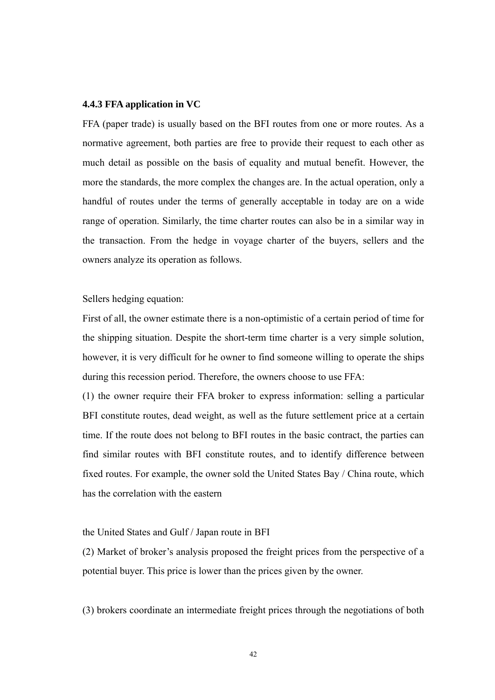#### <span id="page-51-0"></span>**4.4.3 FFA application in VC**

FFA (paper trade) is usually based on the BFI routes from one or more routes. As a normative agreement, both parties are free to provide their request to each other as much detail as possible on the basis of equality and mutual benefit. However, the more the standards, the more complex the changes are. In the actual operation, only a handful of routes under the terms of generally acceptable in today are on a wide range of operation. Similarly, the time charter routes can also be in a similar way in the transaction. From the hedge in voyage charter of the buyers, sellers and the owners analyze its operation as follows.

Sellers hedging equation:

First of all, the owner estimate there is a non-optimistic of a certain period of time for the shipping situation. Despite the short-term time charter is a very simple solution, however, it is very difficult for he owner to find someone willing to operate the ships during this recession period. Therefore, the owners choose to use FFA:

(1) the owner require their FFA broker to express information: selling a particular BFI constitute routes, dead weight, as well as the future settlement price at a certain time. If the route does not belong to BFI routes in the basic contract, the parties can find similar routes with BFI constitute routes, and to identify difference between fixed routes. For example, the owner sold the United States Bay / China route, which has the correlation with the eastern

#### the United States and Gulf / Japan route in BFI

(2) Market of broker's analysis proposed the freight prices from the perspective of a potential buyer. This price is lower than the prices given by the owner.

(3) brokers coordinate an intermediate freight prices through the negotiations of both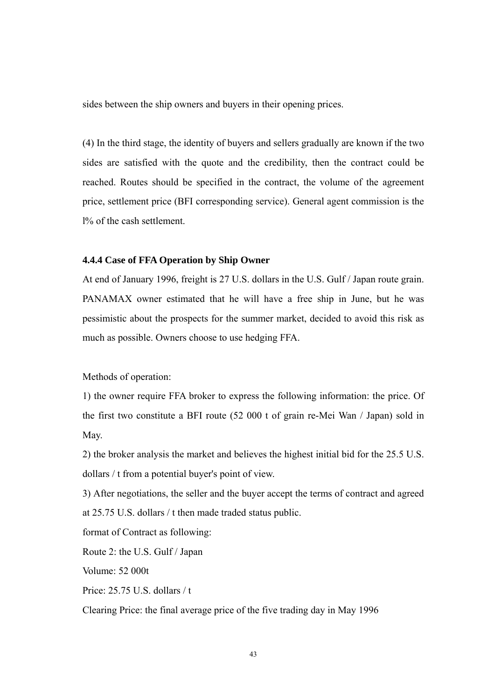<span id="page-52-0"></span>sides between the ship owners and buyers in their opening prices.

(4) In the third stage, the identity of buyers and sellers gradually are known if the two sides are satisfied with the quote and the credibility, then the contract could be reached. Routes should be specified in the contract, the volume of the agreement price, settlement price (BFI corresponding service). General agent commission is the l% of the cash settlement.

#### **4.4.4 Case of FFA Operation by Ship Owner**

At end of January 1996, freight is 27 U.S. dollars in the U.S. Gulf / Japan route grain. PANAMAX owner estimated that he will have a free ship in June, but he was pessimistic about the prospects for the summer market, decided to avoid this risk as much as possible. Owners choose to use hedging FFA.

Methods of operation:

1) the owner require FFA broker to express the following information: the price. Of the first two constitute a BFI route (52 000 t of grain re-Mei Wan / Japan) sold in May.

2) the broker analysis the market and believes the highest initial bid for the 25.5 U.S. dollars / t from a potential buyer's point of view.

3) After negotiations, the seller and the buyer accept the terms of contract and agreed at 25.75 U.S. dollars / t then made traded status public.

format of Contract as following:

Route 2: the U.S. Gulf / Japan

Volume: 52 000t

Price: 25.75 U.S. dollars / t

Clearing Price: the final average price of the five trading day in May 1996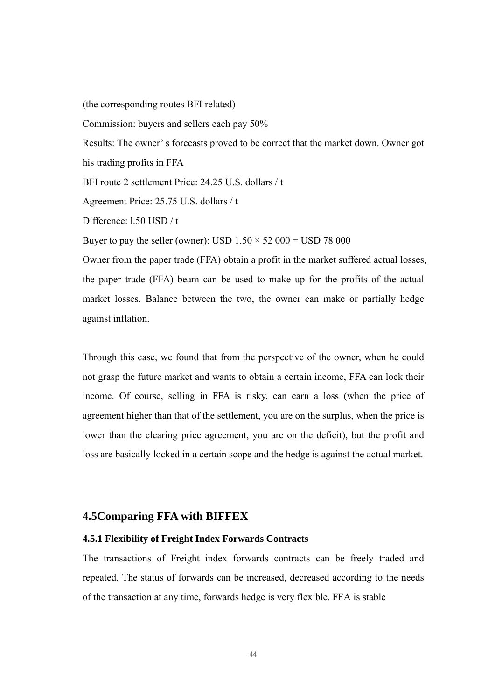<span id="page-53-0"></span>(the corresponding routes BFI related)

Commission: buyers and sellers each pay 50%

Results: The owner' s forecasts proved to be correct that the market down. Owner got his trading profits in FFA

BFI route 2 settlement Price: 24.25 U.S. dollars / t.

Agreement Price: 25.75 U.S. dollars / t

Difference: l.50 USD / t

Buyer to pay the seller (owner): USD  $1.50 \times 52\,000 =$  USD 78 000

Owner from the paper trade (FFA) obtain a profit in the market suffered actual losses, the paper trade (FFA) beam can be used to make up for the profits of the actual market losses. Balance between the two, the owner can make or partially hedge against inflation.

Through this case, we found that from the perspective of the owner, when he could not grasp the future market and wants to obtain a certain income, FFA can lock their income. Of course, selling in FFA is risky, can earn a loss (when the price of agreement higher than that of the settlement, you are on the surplus, when the price is lower than the clearing price agreement, you are on the deficit), but the profit and loss are basically locked in a certain scope and the hedge is against the actual market.

#### **4.5Comparing FFA with BIFFEX**

#### **4.5.1 Flexibility of Freight Index Forwards Contracts**

The transactions of Freight index forwards contracts can be freely traded and repeated. The status of forwards can be increased, decreased according to the needs of the transaction at any time, forwards hedge is very flexible. FFA is stable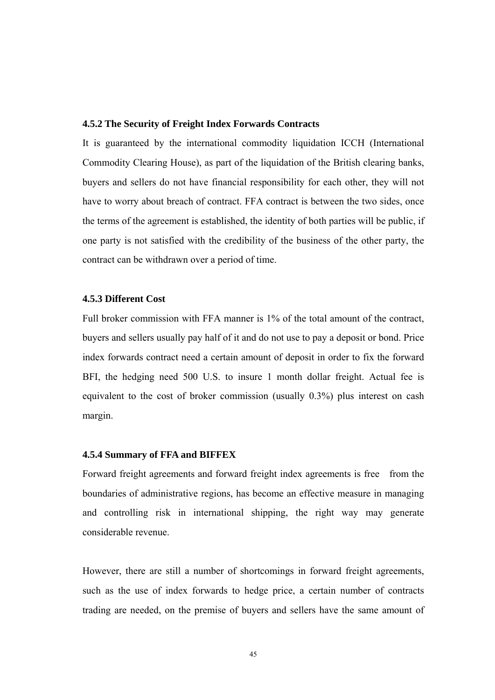#### <span id="page-54-0"></span>**4.5.2 The Security of Freight Index Forwards Contracts**

It is guaranteed by the international commodity liquidation ICCH (International Commodity Clearing House), as part of the liquidation of the British clearing banks, buyers and sellers do not have financial responsibility for each other, they will not have to worry about breach of contract. FFA contract is between the two sides, once the terms of the agreement is established, the identity of both parties will be public, if one party is not satisfied with the credibility of the business of the other party, the contract can be withdrawn over a period of time.

#### **4.5.3 Different Cost**

Full broker commission with FFA manner is 1% of the total amount of the contract, buyers and sellers usually pay half of it and do not use to pay a deposit or bond. Price index forwards contract need a certain amount of deposit in order to fix the forward BFI, the hedging need 500 U.S. to insure 1 month dollar freight. Actual fee is equivalent to the cost of broker commission (usually 0.3%) plus interest on cash margin.

#### **4.5.4 Summary of FFA and BIFFEX**

Forward freight agreements and forward freight index agreements is free from the boundaries of administrative regions, has become an effective measure in managing and controlling risk in international shipping, the right way may generate considerable revenue.

However, there are still a number of shortcomings in forward freight agreements, such as the use of index forwards to hedge price, a certain number of contracts trading are needed, on the premise of buyers and sellers have the same amount of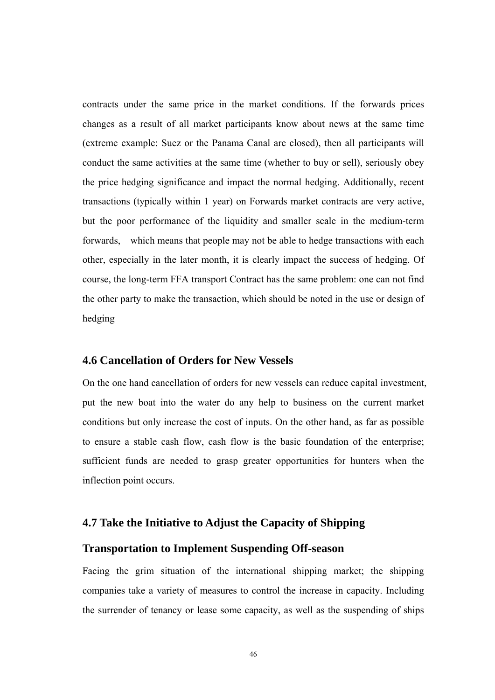<span id="page-55-0"></span>contracts under the same price in the market conditions. If the forwards prices changes as a result of all market participants know about news at the same time (extreme example: Suez or the Panama Canal are closed), then all participants will conduct the same activities at the same time (whether to buy or sell), seriously obey the price hedging significance and impact the normal hedging. Additionally, recent transactions (typically within 1 year) on Forwards market contracts are very active, but the poor performance of the liquidity and smaller scale in the medium-term forwards, which means that people may not be able to hedge transactions with each other, especially in the later month, it is clearly impact the success of hedging. Of course, the long-term FFA transport Contract has the same problem: one can not find the other party to make the transaction, which should be noted in the use or design of hedging

#### **4.6 Cancellation of Orders for New Vessels**

On the one hand cancellation of orders for new vessels can reduce capital investment, put the new boat into the water do any help to business on the current market conditions but only increase the cost of inputs. On the other hand, as far as possible to ensure a stable cash flow, cash flow is the basic foundation of the enterprise; sufficient funds are needed to grasp greater opportunities for hunters when the inflection point occurs.

#### **4.7 Take the Initiative to Adjust the Capacity of Shipping**

#### **Transportation to Implement Suspending Off-season**

Facing the grim situation of the international shipping market; the shipping companies take a variety of measures to control the increase in capacity. Including the surrender of tenancy or lease some capacity, as well as the suspending of ships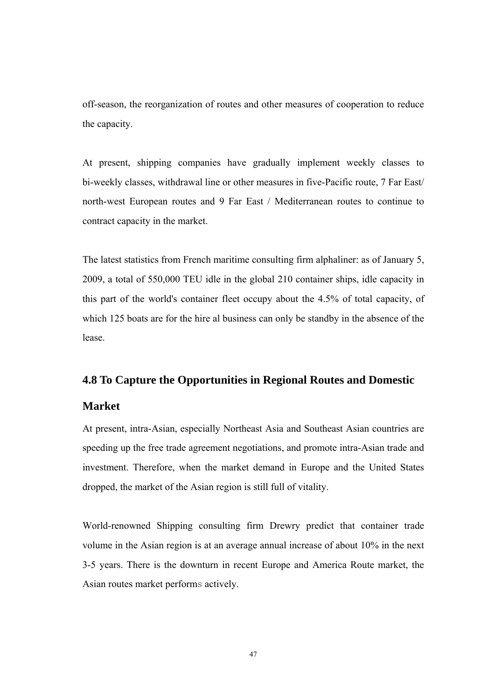<span id="page-56-0"></span>off-season, the reorganization of routes and other measures of cooperation to reduce the capacity.

At present, shipping companies have gradually implement weekly classes to bi-weekly classes, withdrawal line or other measures in five-Pacific route, 7 Far East/ north-west European routes and 9 Far East / Mediterranean routes to continue to contract capacity in the market.

The latest statistics from French maritime consulting firm alphaliner: as of January 5, 2009, a total of 550,000 TEU idle in the global 210 container ships, idle capacity in this part of the world's container fleet occupy about the 4.5% of total capacity, of which 125 boats are for the hire al business can only be standby in the absence of the lease.

#### **4.8 To Capture the Opportunities in Regional Routes and Domestic**

#### **Market**

At present, intra-Asian, especially Northeast Asia and Southeast Asian countries are speeding up the free trade agreement negotiations, and promote intra-Asian trade and investment. Therefore, when the market demand in Europe and the United States dropped, the market of the Asian region is still full of vitality.

World-renowned Shipping consulting firm Drewry predict that container trade volume in the Asian region is at an average annual increase of about 10% in the next 3-5 years. There is the downturn in recent Europe and America Route market, the Asian routes market performs actively.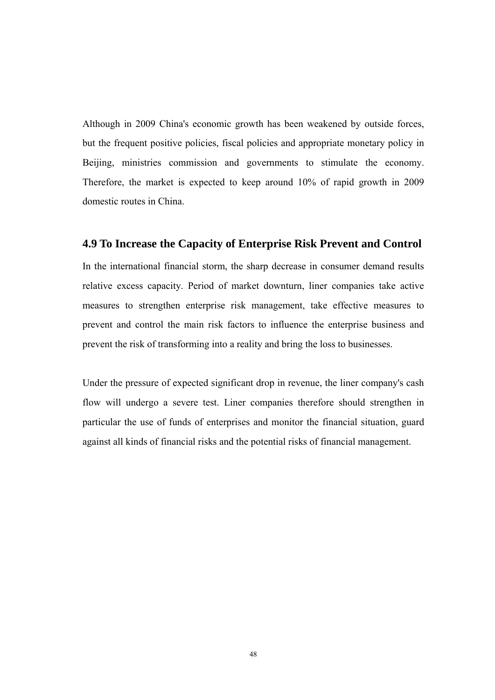<span id="page-57-0"></span>Although in 2009 China's economic growth has been weakened by outside forces, but the frequent positive policies, fiscal policies and appropriate monetary policy in Beijing, ministries commission and governments to stimulate the economy. Therefore, the market is expected to keep around 10% of rapid growth in 2009 domestic routes in China.

#### **4.9 To Increase the Capacity of Enterprise Risk Prevent and Control**

In the international financial storm, the sharp decrease in consumer demand results relative excess capacity. Period of market downturn, liner companies take active measures to strengthen enterprise risk management, take effective measures to prevent and control the main risk factors to influence the enterprise business and prevent the risk of transforming into a reality and bring the loss to businesses.

Under the pressure of expected significant drop in revenue, the liner company's cash flow will undergo a severe test. Liner companies therefore should strengthen in particular the use of funds of enterprises and monitor the financial situation, guard against all kinds of financial risks and the potential risks of financial management.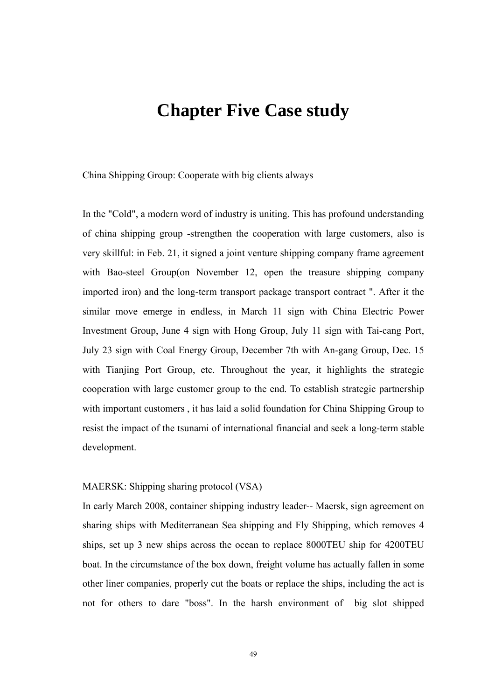## <span id="page-58-0"></span>**Chapter Five Case study**

China Shipping Group: Cooperate with big clients always

In the "Cold", a modern word of industry is uniting. This has profound understanding of china shipping group -strengthen the cooperation with large customers, also is very skillful: in Feb. 21, it signed a joint venture shipping company frame agreement with Bao-steel Group(on November 12, open the treasure shipping company imported iron) and the long-term transport package transport contract ". After it the similar move emerge in endless, in March 11 sign with China Electric Power Investment Group, June 4 sign with Hong Group, July 11 sign with Tai-cang Port, July 23 sign with Coal Energy Group, December 7th with An-gang Group, Dec. 15 with Tianjing Port Group, etc. Throughout the year, it highlights the strategic cooperation with large customer group to the end. To establish strategic partnership with important customers , it has laid a solid foundation for China Shipping Group to resist the impact of the tsunami of international financial and seek a long-term stable development.

#### MAERSK: Shipping sharing protocol (VSA)

In early March 2008, container shipping industry leader-- Maersk, sign agreement on sharing ships with Mediterranean Sea shipping and Fly Shipping, which removes 4 ships, set up 3 new ships across the ocean to replace 8000TEU ship for 4200TEU boat. In the circumstance of the box down, freight volume has actually fallen in some other liner companies, properly cut the boats or replace the ships, including the act is not for others to dare "boss". In the harsh environment of big slot shipped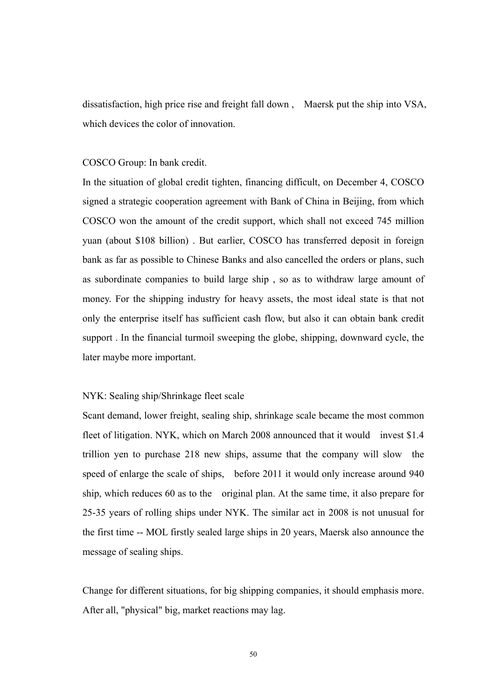dissatisfaction, high price rise and freight fall down , Maersk put the ship into VSA, which devices the color of innovation.

#### COSCO Group: In bank credit.

In the situation of global credit tighten, financing difficult, on December 4, COSCO signed a strategic cooperation agreement with Bank of China in Beijing, from which COSCO won the amount of the credit support, which shall not exceed 745 million yuan (about \$108 billion) . But earlier, COSCO has transferred deposit in foreign bank as far as possible to Chinese Banks and also cancelled the orders or plans, such as subordinate companies to build large ship , so as to withdraw large amount of money. For the shipping industry for heavy assets, the most ideal state is that not only the enterprise itself has sufficient cash flow, but also it can obtain bank credit support . In the financial turmoil sweeping the globe, shipping, downward cycle, the later maybe more important.

#### NYK: Sealing ship/Shrinkage fleet scale

Scant demand, lower freight, sealing ship, shrinkage scale became the most common fleet of litigation. NYK, which on March 2008 announced that it would invest \$1.4 trillion yen to purchase 218 new ships, assume that the company will slow the speed of enlarge the scale of ships, before 2011 it would only increase around 940 ship, which reduces 60 as to the original plan. At the same time, it also prepare for 25-35 years of rolling ships under NYK. The similar act in 2008 is not unusual for the first time -- MOL firstly sealed large ships in 20 years, Maersk also announce the message of sealing ships.

Change for different situations, for big shipping companies, it should emphasis more. After all, "physical" big, market reactions may lag.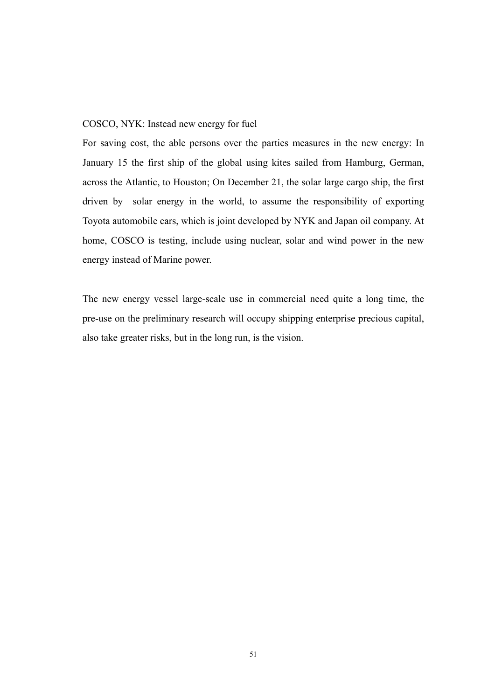#### COSCO, NYK: Instead new energy for fuel

For saving cost, the able persons over the parties measures in the new energy: In January 15 the first ship of the global using kites sailed from Hamburg, German, across the Atlantic, to Houston; On December 21, the solar large cargo ship, the first driven by solar energy in the world, to assume the responsibility of exporting Toyota automobile cars, which is joint developed by NYK and Japan oil company. At home, COSCO is testing, include using nuclear, solar and wind power in the new energy instead of Marine power.

The new energy vessel large-scale use in commercial need quite a long time, the pre-use on the preliminary research will occupy shipping enterprise precious capital, also take greater risks, but in the long run, is the vision.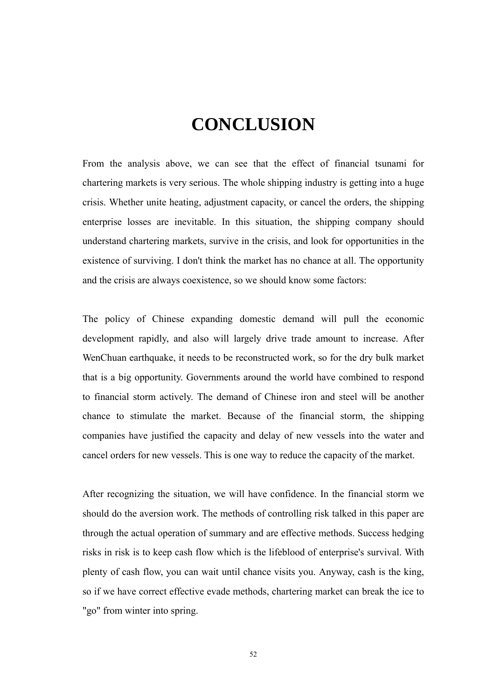# **CONCLUSION**

<span id="page-61-0"></span>From the analysis above, we can see that the effect of financial tsunami for chartering markets is very serious. The whole shipping industry is getting into a huge crisis. Whether unite heating, adjustment capacity, or cancel the orders, the shipping enterprise losses are inevitable. In this situation, the shipping company should understand chartering markets, survive in the crisis, and look for opportunities in the existence of surviving. I don't think the market has no chance at all. The opportunity and the crisis are always coexistence, so we should know some factors:

The policy of Chinese expanding domestic demand will pull the economic development rapidly, and also will largely drive trade amount to increase. After WenChuan earthquake, it needs to be reconstructed work, so for the dry bulk market that is a big opportunity. Governments around the world have combined to respond to financial storm actively. The demand of Chinese iron and steel will be another chance to stimulate the market. Because of the financial storm, the shipping companies have justified the capacity and delay of new vessels into the water and cancel orders for new vessels. This is one way to reduce the capacity of the market.

After recognizing the situation, we will have confidence. In the financial storm we should do the aversion work. The methods of controlling risk talked in this paper are through the actual operation of summary and are effective methods. Success hedging risks in risk is to keep cash flow which is the lifeblood of enterprise's survival. With plenty of cash flow, you can wait until chance visits you. Anyway, cash is the king, so if we have correct effective evade methods, chartering market can break the ice to "go" from winter into spring.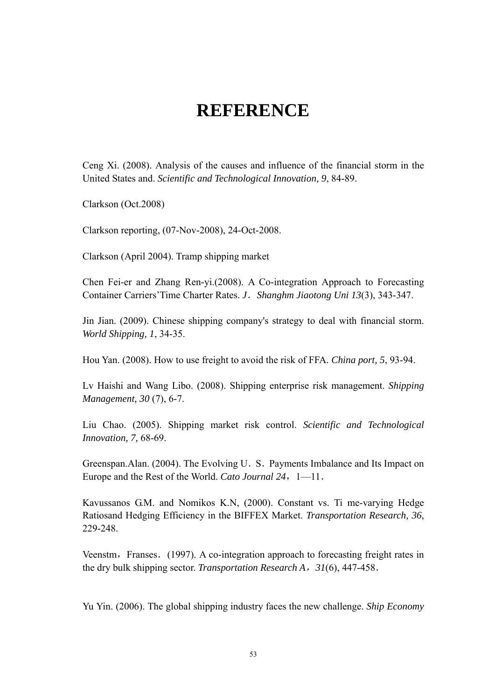# **REFERENCE**

<span id="page-62-0"></span>Ceng Xi. (2008). Analysis of the causes and influence of the financial storm in the United States and. *Scientific and Technological Innovation, 9*, 84-89.

Clarkson (Oct.2008)

Clarkson reporting, (07-Nov-2008), 24-Oct-2008.

Clarkson (April 2004). Tramp shipping market

Chen Fei-er and Zhang Ren-yi.(2008). A Co-integration Approach to Forecasting Container Carriers'Time Charter Rates. *J*.*Shanghm Jiaotong Uni 13*(3), 343-347.

Jin Jian. (2009). Chinese shipping company's strategy to deal with financial storm. *World Shipping, 1*, 34-35.

Hou Yan. (2008). How to use freight to avoid the risk of FFA. *China port, 5*, 93-94.

Lv Haishi and Wang Libo. (2008). Shipping enterprise risk management. *Shipping Management, 30* (7), 6-7.

Liu Chao. (2005). Shipping market risk control. *Scientific and Technological Innovation, 7,* 68-69.

Greenspan.Alan. (2004). The Evolving U. S. Payments Imbalance and Its Impact on Europe and the Rest of the World. Cato Journal 24, 1-11.

Kavussanos G.M. and Nomikos K.N, (2000). Constant vs. Ti me-varying Hedge Ratiosand Hedging Efficiency in the BIFFEX Market. *Transportation Research, 36*, 229-248.

Veenstm, Franses. (1997). A co-integration approach to forecasting freight rates in the dry bulk shipping sector. *Transportation Research A*,*31*(6), 447-458.

Yu Yin. (2006). The global shipping industry faces the new challenge. *Ship Economy*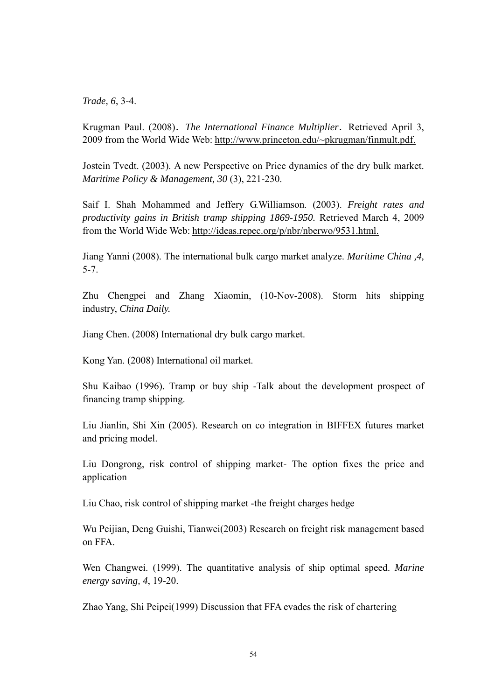*Trade, 6*, 3-4.

Krugman Paul. (2008). The International Finance Multiplier. Retrieved April 3, 2009 from the World Wide Web: http://www.princeton.edu/~pkrugman/finmult.pdf.

Jostein Tvedt. (2003). A new Perspective on Price dynamics of the dry bulk market. *[Maritime Policy & Management,](http://ntlsearch.bts.gov/tris/search.do?f1=mnid&new=&t1=314895&d=tr) 30* (3), 221-230.

Saif I. Shah Mohammed and Jeffery G.Williamson. (2003). *Freight rates and productivity gains in British tramp shipping 1869-1950.* Retrieved March 4, 2009 from the World Wide Web: http://ideas.repec.org/p/nbr/nberwo/9531.html.

Jiang Yanni (2008). The international bulk cargo market analyze. *Maritime China ,4,* 5-7.

Zhu Chengpei and Zhang Xiaomin, (10-Nov-2008). Storm hits shipping industry, *China Daily.*

Jiang Chen. (2008) International dry bulk cargo market.

Kong Yan. (2008) International oil market.

Shu Kaibao (1996). Tramp or buy ship -Talk about the development prospect of financing tramp shipping.

Liu Jianlin, Shi Xin (2005). Research on co integration in BIFFEX futures market and pricing model.

Liu Dongrong, risk control of shipping market- The option fixes the price and application

Liu Chao, risk control of shipping market -the freight charges hedge

Wu Peijian, Deng Guishi, Tianwei(2003) Research on freight risk management based on FFA.

Wen Changwei. (1999). The quantitative analysis of ship optimal speed. *Marine energy saving, 4*, 19-20.

Zhao Yang, Shi Peipei(1999) Discussion that FFA evades the risk of chartering